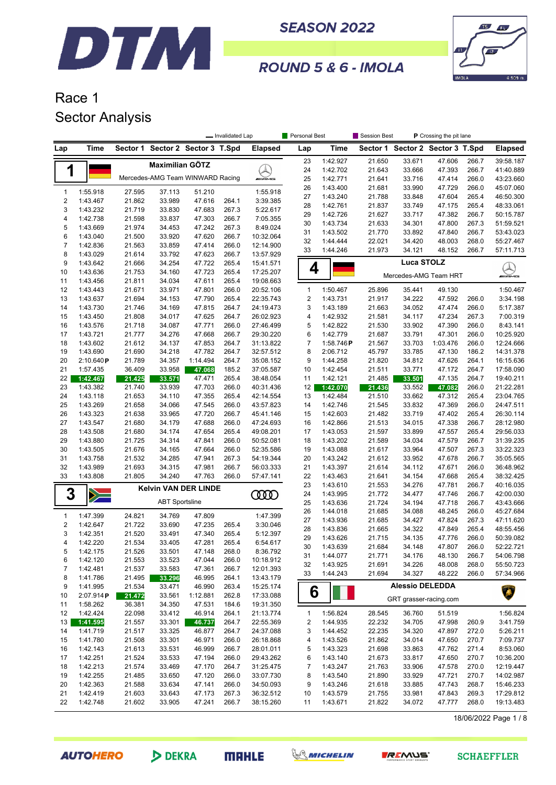



#### ROUND 5 & 6 - IMOLA

### Race 1 Sector Analysis

|              |                      |                  |                                  |                  | - Invalidated Lap |                        | Personal Best       |                      | P Crossing the pit lane<br>Session Best |                        |                         |                |                        |
|--------------|----------------------|------------------|----------------------------------|------------------|-------------------|------------------------|---------------------|----------------------|-----------------------------------------|------------------------|-------------------------|----------------|------------------------|
| Lap          | Time                 |                  | Sector 1 Sector 2 Sector 3 T.Spd |                  |                   | <b>Elapsed</b>         | Lap                 | Time                 | Sector 1                                |                        | Sector 2 Sector 3 T.Spd |                | <b>Elapsed</b>         |
|              |                      |                  | <b>Maximilian GÖTZ</b>           |                  |                   |                        | 23                  | 1:42.927             | 21.650                                  | 33.671                 | 47.606                  | 266.7          | 39:58.187              |
| 1            |                      |                  |                                  |                  |                   |                        | 24                  | 1:42.702             | 21.643                                  | 33.666                 | 47.393                  | 266.7          | 41:40.889              |
|              |                      |                  | Mercedes-AMG Team WINWARD Racing |                  |                   | WAMG                   | 25                  | 1:42.771             | 21.641                                  | 33.716                 | 47.414                  | 266.0          | 43:23.660              |
| $\mathbf{1}$ | 1:55.918             | 27.595           | 37.113                           | 51.210           |                   | 1:55.918               | 26                  | 1:43.400             | 21.681                                  | 33.990                 | 47.729                  | 266.0          | 45:07.060              |
| $\sqrt{2}$   | 1:43.467             | 21.862           | 33.989                           | 47.616           | 264.1             | 3:39.385               | 27                  | 1:43.240             | 21.788                                  | 33.848                 | 47.604                  | 265.4          | 46:50.300              |
| 3            | 1:43.232             | 21.719           | 33.830                           | 47.683           | 267.3             | 5:22.617               | 28                  | 1:42.761             | 21.837                                  | 33.749                 | 47.175                  | 265.4          | 48:33.061              |
| 4            | 1:42.738             | 21.598           | 33.837                           | 47.303           | 266.7             | 7:05.355               | 29                  | 1:42.726             | 21.627                                  | 33.717                 | 47.382                  | 266.7          | 50:15.787              |
| 5            | 1:43.669             | 21.974           | 34.453                           | 47.242           | 267.3             | 8:49.024               | 30                  | 1:43.734             | 21.633                                  | 34.301                 | 47.800                  | 267.3          | 51:59.521              |
| 6            | 1:43.040             | 21.500           | 33.920                           | 47.620           | 266.7             | 10:32.064              | 31                  | 1:43.502             | 21.770                                  | 33.892                 | 47.840                  | 266.7          | 53:43.023              |
| 7            | 1:42.836             | 21.563           | 33.859                           | 47.414           | 266.0             | 12:14.900              | 32                  | 1:44.444             | 22.021                                  | 34.420                 | 48.003                  | 268.0          | 55:27.467              |
| 8            | 1:43.029             | 21.614           | 33.792                           | 47.623           | 266.7             | 13:57.929              | 33                  | 1:44.246             | 21.973                                  | 34.121                 | 48.152                  | 266.7          | 57:11.713              |
| 9            | 1:43.642             | 21.666           | 34.254                           | 47.722           | 265.4             | 15:41.571              | 4                   |                      |                                         | <b>Luca STOLZ</b>      |                         |                |                        |
| 10           | 1:43.636             | 21.753           | 34.160                           | 47.723           | 265.4             | 17:25.207              |                     |                      |                                         | Mercedes-AMG Team HRT  |                         |                | Q<br><i>m</i> ians     |
| 11           | 1:43.456             | 21.811           | 34.034                           | 47.611           | 265.4             | 19:08.663              |                     |                      |                                         |                        |                         |                |                        |
| 12           | 1:43.443             | 21.671           | 33.971                           | 47.801           | 266.0             | 20:52.106              | $\mathbf{1}$        | 1:50.467             | 25.896                                  | 35.441                 | 49.130                  |                | 1:50.467               |
| 13           | 1:43.637             | 21.694           | 34.153                           | 47.790           | 265.4             | 22:35.743              | $\overline{2}$      | 1:43.731             | 21.917                                  | 34.222                 | 47.592                  | 266.0          | 3:34.198               |
| 14           | 1:43.730             | 21.746           | 34.169                           | 47.815           | 264.7             | 24:19.473              | 3                   | 1:43.189             | 21.663                                  | 34.052                 | 47.474                  | 266.0          | 5:17.387               |
| 15           | 1:43.450             | 21.808           | 34.017                           | 47.625           | 264.7             | 26:02.923              | 4                   | 1:42.932             | 21.581                                  | 34.117                 | 47.234                  | 267.3          | 7:00.319               |
| 16           | 1:43.576             | 21.718           | 34.087                           | 47.771           | 266.0             | 27:46.499              | 5                   | 1:42.822<br>1:42.779 | 21.530                                  | 33.902                 | 47.390                  | 266.0          | 8:43.141               |
| 17<br>18     | 1:43.721<br>1:43.602 | 21.777<br>21.612 | 34.276<br>34.137                 | 47.668<br>47.853 | 266.7<br>264.7    | 29:30.220<br>31:13.822 | 6<br>$\overline{7}$ | 1:58.746P            | 21.687<br>21.567                        | 33.791<br>33.703       | 47.301<br>1:03.476      | 266.0<br>266.0 | 10:25.920<br>12:24.666 |
| 19           | 1:43.690             | 21.690           | 34.218                           | 47.782           | 264.7             | 32:57.512              | 8                   | 2:06.712             | 45.797                                  | 33.785                 | 47.130                  | 186.2          | 14:31.378              |
| 20           | 2:10.640P            | 21.789           | 34.357                           | 1:14.494         | 264.7             | 35:08.152              | 9                   | 1:44.258             | 21.820                                  | 34.812                 | 47.626                  | 264.1          | 16:15.636              |
| 21           | 1:57.435             | 36.409           | 33.958                           | 47.068           | 185.2             | 37:05.587              | 10                  | 1:42.454             | 21.511                                  | 33.771                 | 47.172                  | 264.7          | 17:58.090              |
| 22           | 1:42.467             | 21.425           | 33.571                           | 47.471           | 265.4             | 38:48.054              | 11                  | 1:42.121             | 21.485                                  | 33.501                 | 47.135                  | 264.7          | 19:40.211              |
| 23           | 1:43.382             | 21.740           | 33.939                           | 47.703           | 266.0             | 40:31.436              | 12                  | 1:42.070             | 21.436                                  | 33.552                 | 47.082                  | 266.0          | 21:22.281              |
| 24           | 1:43.118             | 21.653           | 34.110                           | 47.355           | 265.4             | 42:14.554              | 13                  | 1:42.484             | 21.510                                  | 33.662                 | 47.312                  | 265.4          | 23:04.765              |
| 25           | 1:43.269             | 21.658           | 34.066                           | 47.545           | 266.0             | 43:57.823              | 14                  | 1:42.746             | 21.545                                  | 33.832                 | 47.369                  | 266.0          | 24:47.511              |
| 26           | 1:43.323             | 21.638           | 33.965                           | 47.720           | 266.7             | 45:41.146              | 15                  | 1:42.603             | 21.482                                  | 33.719                 | 47.402                  | 265.4          | 26:30.114              |
| 27           | 1:43.547             | 21.680           | 34.179                           | 47.688           | 266.0             | 47:24.693              | 16                  | 1:42.866             | 21.513                                  | 34.015                 | 47.338                  | 266.7          | 28:12.980              |
| 28           | 1:43.508             | 21.680           | 34.174                           | 47.654           | 265.4             | 49:08.201              | 17                  | 1:43.053             | 21.597                                  | 33.899                 | 47.557                  | 265.4          | 29:56.033              |
| 29           | 1:43.880             | 21.725           | 34.314                           | 47.841           | 266.0             | 50:52.081              | 18                  | 1:43.202             | 21.589                                  | 34.034                 | 47.579                  | 266.7          | 31:39.235              |
| 30           | 1:43.505             | 21.676           | 34.165                           | 47.664           | 266.0             | 52:35.586              | 19                  | 1:43.088             | 21.617                                  | 33.964                 | 47.507                  | 267.3          | 33:22.323              |
| 31           | 1:43.758             | 21.532           | 34.285                           | 47.941           | 267.3             | 54:19.344              | 20                  | 1:43.242             | 21.612                                  | 33.952                 | 47.678                  | 266.7          | 35:05.565              |
| 32           | 1:43.989             | 21.693           | 34.315                           | 47.981           | 266.7             | 56:03.333              | 21                  | 1:43.397             | 21.614                                  | 34.112                 | 47.671                  | 266.0          | 36:48.962              |
| 33           | 1:43.808             | 21.805           | 34.240                           | 47.763           | 266.0             | 57:47.141              | 22<br>23            | 1:43.463<br>1:43.610 | 21.641<br>21.553                        | 34.154<br>34.276       | 47.668<br>47.781        | 265.4<br>266.7 | 38:32.425<br>40:16.035 |
| 3            |                      |                  | <b>Kelvin VAN DER LINDE</b>      |                  |                   | <b>COOD</b>            | 24                  | 1:43.995             | 21.772                                  | 34.477                 | 47.746                  | 266.7          | 42:00.030              |
|              | $\geqslant$          |                  | <b>ABT Sportsline</b>            |                  |                   |                        | 25                  | 1:43.636             | 21.724                                  | 34.194                 | 47.718                  | 266.7          | 43:43.666              |
|              |                      |                  |                                  |                  |                   |                        | 26                  | 1:44.018             | 21.685                                  | 34.088                 | 48.245                  | 266.0          | 45:27.684              |
| $\mathbf{1}$ | 1:47.399             | 24.821           | 34.769                           | 47.809           |                   | 1:47.399               | 27                  | 1:43.936             | 21.685                                  | 34.427                 | 47.824                  | 267.3          | 47:11.620              |
| $\sqrt{2}$   | 1:42.647             | 21.722           | 33.690                           | 47.235           | 265.4             | 3:30.046               | 28                  | 1:43.836             | 21.665                                  | 34.322                 | 47.849                  | 265.4          | 48:55.456              |
| 3            | 1:42.351             | 21.520           | 33.491                           | 47.340           | 265.4             | 5:12.397               | 29                  | 1:43.626             | 21.715                                  | 34.135                 | 47.776                  | 266.0          | 50:39.082              |
| 4<br>5       | 1:42.220             | 21.534<br>21.526 | 33.405                           | 47.281<br>47.148 | 265.4<br>268.0    | 6:54.617<br>8:36.792   | 30                  | 1:43.639             | 21.684                                  | 34.148                 | 47.807                  | 266.0          | 52:22.721              |
| 6            | 1:42.175<br>1:42.120 | 21.553           | 33.501<br>33.523                 | 47.044           | 266.0             | 10:18.912              | 31                  | 1:44.077             | 21.771                                  | 34.176                 | 48.130                  | 266.7          | 54:06.798              |
| 7            | 1:42.481             | 21.537           | 33.583                           | 47.361           | 266.7             | 12:01.393              | 32                  | 1:43.925             | 21.691                                  | 34.226                 | 48.008                  | 268.0          | 55:50.723              |
| 8            | 1:41.786             | 21.495           | 33.296                           | 46.995           | 264.1             | 13:43.179              | 33                  | 1:44.243             | 21.694                                  | 34.327                 | 48.222                  | 266.0          | 57:34.966              |
| 9            | 1:41.995             | 21.534           | 33.471                           | 46.990           | 263.4             | 15:25.174              |                     |                      |                                         | <b>Alessio DELEDDA</b> |                         |                |                        |
| 10           | 2:07.914P            | 21.472           | 33.561                           | 1:12.881         | 262.8             | 17:33.088              | 6                   |                      |                                         |                        |                         |                | A                      |
| 11           | 1:58.262             | 36.381           | 34.350                           | 47.531           | 184.6             | 19:31.350              |                     |                      |                                         | GRT grasser-racing.com |                         |                |                        |
| 12           | 1:42.424             | 22.098           | 33.412                           | 46.914           | 264.1             | 21:13.774              | $\mathbf{1}$        | 1:56.824             | 28.545                                  | 36.760                 | 51.519                  |                | 1:56.824               |
| 13           | 1:41.595             | 21.557           | 33.301                           | 46.737           | 264.7             | 22:55.369              | 2                   | 1:44.935             | 22.232                                  | 34.705                 | 47.998                  | 260.9          | 3:41.759               |
| 14           | 1:41.719             | 21.517           | 33.325                           | 46.877           | 264.7             | 24:37.088              | 3                   | 1:44.452             | 22.235                                  | 34.320                 | 47.897                  | 272.0          | 5:26.211               |
| 15           | 1:41.780             | 21.508           | 33.301                           | 46.971           | 266.0             | 26:18.868              | 4                   | 1:43.526             | 21.862                                  | 34.014                 | 47.650                  | 270.7          | 7:09.737               |
| 16           | 1:42.143             | 21.613           | 33.531                           | 46.999           | 266.7             | 28:01.011              | 5                   | 1:43.323             | 21.698                                  | 33.863                 | 47.762                  | 271.4          | 8:53.060               |
| 17           | 1:42.251             | 21.524           | 33.533                           | 47.194           | 266.0             | 29:43.262              | 6                   | 1:43.140             | 21.673                                  | 33.817                 | 47.650                  | 270.7          | 10:36.200              |
| 18           | 1:42.213             | 21.574           | 33.469                           | 47.170           | 264.7             | 31:25.475              | 7                   | 1:43.247             | 21.763                                  | 33.906                 | 47.578                  | 270.0          | 12:19.447              |
| 19           | 1:42.255             | 21.485           | 33.650                           | 47.120           | 266.0             | 33:07.730              | 8                   | 1:43.540             | 21.890                                  | 33.929                 | 47.721                  | 270.7          | 14:02.987              |
| 20           | 1:42.363             | 21.588           | 33.634                           | 47.141           | 266.0             | 34:50.093              | 9                   | 1:43.246             | 21.618                                  | 33.885                 | 47.743                  | 268.7          | 15:46.233              |
| 21<br>22     | 1:42.419             | 21.603           | 33.643                           | 47.173           | 267.3             | 36:32.512              | 10                  | 1:43.579             | 21.755                                  | 33.981                 | 47.843                  | 269.3          | 17:29.812              |
|              | 1:42.748             | 21.602           | 33.905                           | 47.241           | 266.7             | 38:15.260              | 11                  | 1:43.671             | 21.822                                  | 34.072                 | 47.777                  | 268.0          | 19:13.483              |

18/06/2022 Page 1 / 8

**AUTOHERO** 

DEKRA





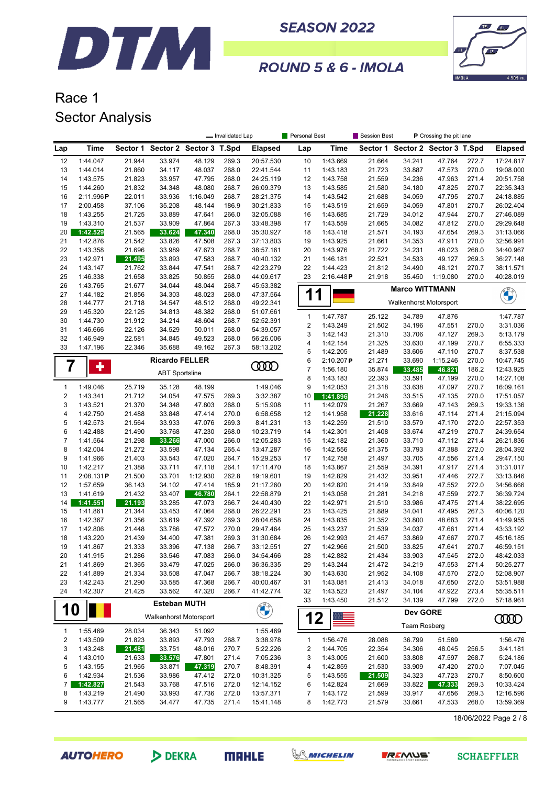



#### ROUND 5 & 6 - IMOLA

### Race 1 Sector Analysis

|                         |                              | Session Best<br>P Crossing the pit lane<br>- Invalidated Lap<br>Personal Best |                                  |                  |                |                        |          |                          |                      |                  |                               |                                  |                |                        |
|-------------------------|------------------------------|-------------------------------------------------------------------------------|----------------------------------|------------------|----------------|------------------------|----------|--------------------------|----------------------|------------------|-------------------------------|----------------------------------|----------------|------------------------|
| Lap                     | Time                         |                                                                               | Sector 1 Sector 2 Sector 3 T.Spd |                  |                | <b>Elapsed</b>         | Lap      |                          | <b>Time</b>          |                  |                               | Sector 1 Sector 2 Sector 3 T.Spd |                | <b>Elapsed</b>         |
| 12                      | 1:44.047                     | 21.944                                                                        | 33.974                           | 48.129           | 269.3          | 20:57.530              | 10       |                          | 1:43.669             | 21.664           | 34.241                        | 47.764                           | 272.7          | 17:24.817              |
| 13                      | 1:44.014                     | 21.860                                                                        | 34.117                           | 48.037           | 268.0          | 22:41.544              | 11       |                          | 1:43.183             | 21.723           | 33.887                        | 47.573                           | 270.0          | 19:08.000              |
| 14                      | 1:43.575                     | 21.823                                                                        | 33.957                           | 47.795           | 268.0          | 24:25.119              | 12       |                          | 1:43.758             | 21.559           | 34.236                        | 47.963                           | 271.4          | 20:51.758              |
| 15                      | 1:44.260                     | 21.832                                                                        | 34.348                           | 48.080           | 268.7          | 26:09.379              | 13       |                          | 1:43.585             | 21.580           | 34.180                        | 47.825                           | 270.7          | 22:35.343              |
| 16                      | 2:11.996P                    | 22.011                                                                        | 33.936                           | 1:16.049         | 268.7          | 28:21.375              | 14       |                          | 1:43.542             | 21.688           | 34.059                        | 47.795                           | 270.7          | 24:18.885              |
| 17                      | 2:00.458                     | 37.106                                                                        | 35.208                           | 48.144           | 186.9          | 30:21.833              | 15       |                          | 1:43.519             | 21.659           | 34.059                        | 47.801                           | 270.7          | 26:02.404              |
| 18<br>19                | 1:43.255<br>1:43.310         | 21.725<br>21.537                                                              | 33.889<br>33.909                 | 47.641<br>47.864 | 266.0<br>267.3 | 32:05.088<br>33:48.398 | 16<br>17 |                          | 1:43.685<br>1:43.559 | 21.729<br>21.665 | 34.012<br>34.082              | 47.944<br>47.812                 | 270.7<br>270.0 | 27:46.089<br>29:29.648 |
| 20                      | 1:42.529                     | 21.565                                                                        | 33.624                           | 47.340           | 268.0          | 35:30.927              | 18       |                          | 1:43.418             | 21.571           | 34.193                        | 47.654                           | 269.3          | 31:13.066              |
| 21                      | 1:42.876                     | 21.542                                                                        | 33.826                           | 47.508           | 267.3          | 37:13.803              | 19       |                          | 1:43.925             | 21.661           | 34.353                        | 47.911                           | 270.0          | 32:56.991              |
| 22                      | 1:43.358                     | 21.696                                                                        | 33.989                           | 47.673           | 268.7          | 38:57.161              | 20       |                          | 1:43.976             | 21.722           | 34.231                        | 48.023                           | 268.0          | 34:40.967              |
| 23                      | 1:42.971                     | 21.495                                                                        | 33.893                           | 47.583           | 268.7          | 40:40.132              | 21       |                          | 1:46.181             | 22.521           | 34.533                        | 49.127                           | 269.3          | 36:27.148              |
| 24                      | 1:43.147                     | 21.762                                                                        | 33.844                           | 47.541           | 268.7          | 42:23.279              | 22       |                          | 1:44.423             | 21.812           | 34.490                        | 48.121                           | 270.7          | 38:11.571              |
| 25                      | 1:46.338                     | 21.658                                                                        | 33.825                           | 50.855           | 268.0          | 44:09.617              | 23       |                          | 2:16.448P            | 21.918           | 35.450                        | 1:19.080                         | 270.0          | 40:28.019              |
| 26                      | 1:43.765                     | 21.677                                                                        | 34.044                           | 48.044           | 268.7          | 45:53.382              |          |                          |                      |                  | <b>Marco WITTMANN</b>         |                                  |                |                        |
| 27                      | 1:44.182                     | 21.856                                                                        | 34.303                           | 48.023           | 268.0          | 47:37.564              |          | 1                        |                      |                  |                               |                                  |                | <b>CALCON</b>          |
| 28                      | 1:44.777                     | 21.718                                                                        | 34.547                           | 48.512           | 268.0          | 49:22.341              |          |                          |                      |                  | <b>Walkenhorst Motorsport</b> |                                  |                |                        |
| 29                      | 1:45.320                     | 22.125                                                                        | 34.813                           | 48.382           | 268.0          | 51:07.661              |          | $\mathbf{1}$             | 1:47.787             | 25.122           | 34.789                        | 47.876                           |                | 1:47.787               |
| 30<br>31                | 1:44.730                     | 21.912                                                                        | 34.214<br>34.529                 | 48.604           | 268.7<br>268.0 | 52:52.391<br>54:39.057 |          | $\boldsymbol{2}$         | 1:43.249             | 21.502           | 34.196                        | 47.551                           | 270.0          | 3:31.036               |
| 32                      | 1:46.666<br>1:46.949         | 22.126<br>22.581                                                              | 34.845                           | 50.011<br>49.523 | 268.0          | 56:26.006              |          | 3                        | 1:42.143             | 21.310           | 33.706                        | 47.127                           | 269.3          | 5:13.179               |
| 33                      | 1:47.196                     | 22.346                                                                        | 35.688                           | 49.162           | 267.3          | 58:13.202              |          | 4                        | 1:42.154             | 21.325           | 33.630                        | 47.199                           | 270.7          | 6:55.333               |
|                         |                              |                                                                               |                                  |                  |                |                        |          | 5                        | 1:42.205             | 21.489           | 33.606                        | 47.110                           | 270.7          | 8:37.538               |
| $\overline{\mathbf{z}}$ | ٠                            |                                                                               | <b>Ricardo FELLER</b>            |                  |                | <b>COOD</b>            |          | 6                        | 2:10.207P            | 21.271           | 33.690                        | 1:15.246                         | 270.0          | 10:47.745              |
|                         |                              |                                                                               | <b>ABT Sportsline</b>            |                  |                |                        |          | $\overline{\mathcal{I}}$ | 1:56.180             | 35.874           | 33.485                        | 46.821                           | 186.2          | 12:43.925              |
|                         |                              |                                                                               |                                  |                  |                |                        |          | 8                        | 1:43.183             | 22.393           | 33.591                        | 47.199                           | 270.0          | 14:27.108              |
| $\mathbf{1}$            | 1:49.046                     | 25.719                                                                        | 35.128                           | 48.199           |                | 1:49.046               |          | 9                        | 1:42.053             | 21.318           | 33.638                        | 47.097                           | 270.7          | 16:09.161              |
| $\sqrt{2}$              | 1:43.341                     | 21.712                                                                        | 34.054                           | 47.575           | 269.3          | 3:32.387               | 10       |                          | 1:41.896             | 21.246           | 33.515                        | 47.135                           | 270.0          | 17:51.057              |
| 3                       | 1:43.521                     | 21.370                                                                        | 34.348                           | 47.803           | 268.0          | 5:15.908               | 11       |                          | 1:42.079             | 21.267           | 33.669                        | 47.143                           | 269.3          | 19:33.136              |
| 4<br>5                  | 1:42.750                     | 21.488                                                                        | 33.848                           | 47.414           | 270.0          | 6:58.658               | 12       |                          | 1:41.958             | 21.228           | 33.616                        | 47.114                           | 271.4          | 21:15.094              |
| 6                       | 1:42.573<br>1:42.488         | 21.564<br>21.490                                                              | 33.933<br>33.768                 | 47.076<br>47.230 | 269.3<br>268.0 | 8:41.231<br>10:23.719  | 13<br>14 |                          | 1:42.259<br>1:42.301 | 21.510<br>21.408 | 33.579<br>33.674              | 47.170<br>47.219                 | 272.0<br>270.7 | 22:57.353<br>24:39.654 |
| $\overline{7}$          | 1:41.564                     | 21.298                                                                        | 33.266                           | 47.000           | 266.0          | 12:05.283              | 15       |                          | 1:42.182             | 21.360           | 33.710                        | 47.112                           | 271.4          | 26:21.836              |
| 8                       | 1:42.004                     | 21.272                                                                        | 33.598                           | 47.134           | 265.4          | 13:47.287              | 16       |                          | 1:42.556             | 21.375           | 33.793                        | 47.388                           | 272.0          | 28:04.392              |
| 9                       | 1:41.966                     | 21.403                                                                        | 33.543                           | 47.020           | 264.7          | 15:29.253              | 17       |                          | 1:42.758             | 21.497           | 33.705                        | 47.556                           | 271.4          | 29:47.150              |
| 10                      | 1:42.217                     | 21.388                                                                        | 33.711                           | 47.118           | 264.1          | 17:11.470              | 18       |                          | 1:43.867             | 21.559           | 34.391                        | 47.917                           | 271.4          | 31:31.017              |
| 11                      | 2:08.131P                    | 21.500                                                                        | 33.701                           | 1:12.930         | 262.8          | 19:19.601              | 19       |                          | 1:42.829             | 21.432           | 33.951                        | 47.446                           | 272.7          | 33:13.846              |
| 12                      | 1:57.659                     | 36.143                                                                        | 34.102                           | 47.414           | 185.9          | 21:17.260              | 20       |                          | 1:42.820             | 21.419           | 33.849                        | 47.552                           | 272.0          | 34:56.666              |
| 13                      | 1:41.619                     | 21.432                                                                        | 33.407                           | 46.780           | 264.1          | 22:58.879              | 21       |                          | 1:43.058             | 21.281           | 34.218                        | 47.559                           | 272.7          | 36:39.724              |
| 14                      | 1:41.551                     | 21.193                                                                        | 33.285                           | 47.073           | 266.7          | 24:40.430              | 22       |                          | 1:42.971             | 21.510           | 33.986                        | 47.475                           | 271.4          | 38:22.695              |
| 15                      | 1:41.861                     | 21.344                                                                        | 33.453                           | 47.064           | 268.0          | 26:22.291              | 23       |                          | 1:43.425             | 21.889           | 34.041                        | 47.495                           | 267.3          | 40:06.120              |
| 16                      | 1:42.367                     | 21.356                                                                        | 33.619                           | 47.392           | 269.3          | 28:04.658              | 24       |                          | 1:43.835             | 21.352           | 33.800                        | 48.683                           | 271.4          | 41:49.955              |
| 17                      | 1:42.806                     | 21.448                                                                        | 33.786                           | 47.572           | 270.0          | 29:47.464              | 25       |                          | 1:43.237             | 21.539           | 34.037                        | 47.661                           | 271.4          | 43:33.192              |
| 18                      | 1:43.220                     | 21.439                                                                        | 34.400                           | 47.381           | 269.3          | 31:30.684              | 26       |                          | 1:42.993             | 21.457           | 33.869                        | 47.667                           | 270.7          | 45:16.185              |
| 19                      | 1:41.867                     | 21.333                                                                        | 33.396                           | 47.138           | 266.7          | 33:12.551              | 27       |                          | 1:42.966             | 21.500           | 33.825                        | 47.641                           | 270.7          | 46:59.151              |
| 20                      | 1:41.915                     | 21.286                                                                        | 33.546                           | 47.083           | 266.0          | 34:54.466              | 28       |                          | 1:42.882             | 21.434           | 33.903                        | 47.545                           | 272.0          | 48:42.033              |
| 21                      | 1:41.869                     | 21.365                                                                        | 33.479                           | 47.025           | 266.0          | 36:36.335              | 29       |                          | 1:43.244             | 21.472           | 34.219                        | 47.553                           | 271.4          | 50:25.277              |
| 22                      | 1:41.889                     | 21.334                                                                        | 33.508                           | 47.047           | 266.7          | 38:18.224              | 30       |                          | 1:43.630             | 21.952           | 34.108                        | 47.570                           | 272.0          | 52:08.907              |
| 23<br>24                | 1:42.243                     | 21.290                                                                        | 33.585                           | 47.368<br>47.320 | 266.7<br>266.7 | 40:00.467              | 31<br>32 |                          | 1:43.081             | 21.413           | 34.018                        | 47.650                           | 272.0          | 53:51.988              |
|                         | 1:42.307                     | 21.425                                                                        | 33.562                           |                  |                | 41:42.774              | 33       |                          | 1:43.523<br>1:43.450 | 21.497<br>21.512 | 34.104<br>34.139              | 47.922<br>47.799                 | 273.4<br>272.0 | 55:35.511<br>57:18.961 |
|                         |                              |                                                                               | <b>Esteban MUTH</b>              |                  |                | <b>CALCS</b>           |          |                          |                      |                  |                               |                                  |                |                        |
|                         | 10<br>Walkenhorst Motorsport |                                                                               |                                  |                  |                | 12                     |          |                          | Dev GORE             |                  |                               | 0000                             |                |                        |
| 1                       | 1:55.469                     | 28.034                                                                        | 36.343                           | 51.092           |                | 1:55.469               |          |                          |                      |                  | <b>Team Rosberg</b>           |                                  |                |                        |
| 2                       | 1:43.509                     | 21.823                                                                        | 33.893                           | 47.793           | 268.7          | 3:38.978               |          | $\mathbf{1}$             | 1:56.476             | 28.088           | 36.799                        | 51.589                           |                | 1:56.476               |
| 3                       | 1:43.248                     | 21.481                                                                        | 33.751                           | 48.016           | 270.7          | 5:22.226               |          | 2                        | 1:44.705             | 22.354           | 34.306                        | 48.045                           | 256.5          | 3:41.181               |
| 4                       | 1:43.010                     | 21.633                                                                        | 33.576                           | 47.801           | 271.4          | 7:05.236               |          | 3                        | 1:43.005             | 21.600           | 33.808                        | 47.597                           | 268.7          | 5:24.186               |
| 5                       | 1:43.155                     | 21.965                                                                        | 33.871                           | 47.319           | 270.7          | 8:48.391               |          | 4                        | 1:42.859             | 21.530           | 33.909                        | 47.420                           | 270.0          | 7:07.045               |
| 6                       | 1:42.934                     | 21.536                                                                        | 33.986                           | 47.412           | 272.0          | 10:31.325              |          | 5                        | 1:43.555             | 21.509           | 34.323                        | 47.723                           | 270.7          | 8:50.600               |
| 7                       | 1:42.827                     | 21.543                                                                        | 33.768                           | 47.516           | 272.0          | 12:14.152              |          | 6                        | 1:42.824             | 21.669           | 33.822                        | 47.333                           | 269.3          | 10:33.424              |
| 8                       | 1:43.219                     | 21.490                                                                        | 33.993                           | 47.736           | 272.0          | 13:57.371              |          | 7                        | 1:43.172             | 21.599           | 33.917                        | 47.656                           | 269.3          | 12:16.596              |
| 9                       | 1:43.777                     | 21.565                                                                        | 34.477                           | 47.735           | 271.4          | 15:41.148              |          | 8                        | 1:42.773             | 21.579           | 33.661                        | 47.533                           | 268.0          | 13:59.369              |
|                         |                              |                                                                               |                                  |                  |                |                        |          |                          |                      |                  |                               |                                  |                |                        |

18/06/2022 Page 2 / 8

**AUTOHERO** 







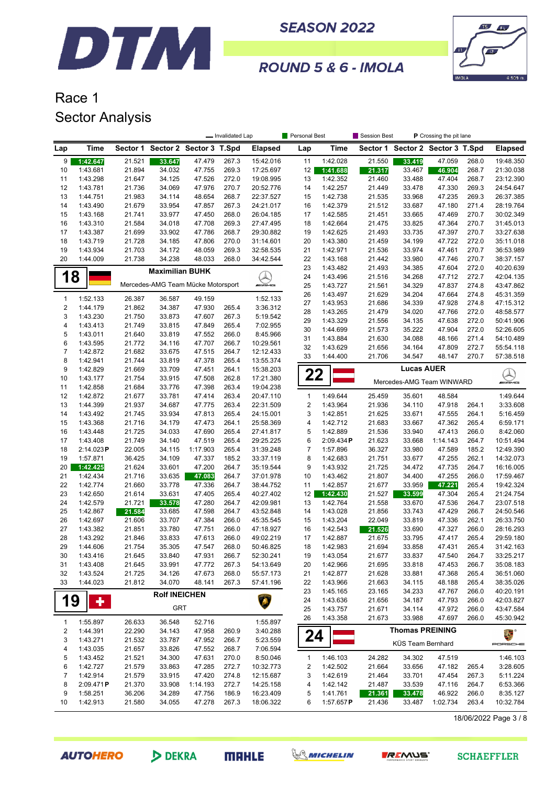



#### ROUND 5 & 6 - IMOLA

## Race 1 Sector Analysis

|                  |                      |                  |                                    |                         | - Invalidated Lap |                        | Personal Best  |                      | Session Best<br>P Crossing the pit lane |                                  |                  |                |                          |
|------------------|----------------------|------------------|------------------------------------|-------------------------|-------------------|------------------------|----------------|----------------------|-----------------------------------------|----------------------------------|------------------|----------------|--------------------------|
| Lap              | <b>Time</b>          | Sector 1         |                                    | Sector 2 Sector 3 T.Spd |                   | <b>Elapsed</b>         | Lap            | Time                 |                                         | Sector 1 Sector 2 Sector 3 T.Spd |                  |                | <b>Elapsed</b>           |
| 9                | 1:42.647             | 21.521           | 33.647                             | 47.479                  | 267.3             | 15:42.016              | 11             | 1:42.028             | 21.550                                  | 33.419                           | 47.059           | 268.0          | 19:48.350                |
| 10               | 1:43.681             | 21.894           | 34.032                             | 47.755                  | 269.3             | 17:25.697              | 12             | 1:41.688             | 21.317                                  | 33.467                           | 46.904           | 268.7          | 21:30.038                |
| 11               | 1:43.298             | 21.647           | 34.125                             | 47.526                  | 272.0             | 19:08.995              | 13             | 1:42.352             | 21.460                                  | 33.488                           | 47.404           | 268.7          | 23:12.390                |
| 12               | 1:43.781             | 21.736           | 34.069                             | 47.976                  | 270.7             | 20:52.776              | 14             | 1:42.257             | 21.449                                  | 33.478                           | 47.330           | 269.3          | 24:54.647                |
| 13               | 1:44.751             | 21.983           | 34.114                             | 48.654                  | 268.7             | 22:37.527              | 15             | 1:42.738             | 21.535                                  | 33.968                           | 47.235           | 269.3          | 26:37.385                |
| 14               | 1:43.490             | 21.679           | 33.954                             | 47.857                  | 267.3             | 24:21.017              | 16             | 1:42.379             | 21.512                                  | 33.687                           | 47.180           | 271.4          | 28:19.764                |
| 15               | 1:43.168             | 21.741           | 33.977                             | 47.450                  | 268.0             | 26:04.185              | 17             | 1:42.585             | 21.451                                  | 33.665                           | 47.469           | 270.7          | 30:02.349                |
| 16<br>17         | 1:43.310<br>1:43.387 | 21.584<br>21.699 | 34.018<br>33.902                   | 47.708<br>47.786        | 269.3<br>268.7    | 27:47.495<br>29:30.882 | 18<br>19       | 1:42.664<br>1:42.625 | 21.475<br>21.493                        | 33.825<br>33.735                 | 47.364<br>47.397 | 270.7<br>270.7 | 31:45.013<br>33:27.638   |
| 18               | 1:43.719             | 21.728           | 34.185                             | 47.806                  | 270.0             | 31:14.601              | 20             | 1:43.380             | 21.459                                  | 34.199                           | 47.722           | 272.0          | 35:11.018                |
| 19               | 1:43.934             | 21.703           | 34.172                             | 48.059                  | 269.3             | 32:58.535              | 21             | 1:42.971             | 21.536                                  | 33.974                           | 47.461           | 270.7          | 36:53.989                |
| 20               | 1:44.009             | 21.738           | 34.238                             | 48.033                  | 268.0             | 34:42.544              | 22             | 1:43.168             | 21.442                                  | 33.980                           | 47.746           | 270.7          | 38:37.157                |
|                  |                      |                  | <b>Maximilian BUHK</b>             |                         |                   |                        | 23             | 1:43.482             | 21.493                                  | 34.385                           | 47.604           | 272.0          | 40:20.639                |
| 18               |                      |                  |                                    |                         |                   | $\varnothing$          | 24             | 1:43.496             | 21.516                                  | 34.268                           | 47.712           | 272.7          | 42:04.135                |
|                  |                      |                  | Mercedes-AMG Team Mücke Motorsport |                         |                   | mmams                  | 25             | 1:43.727             | 21.561                                  | 34.329                           | 47.837           | 274.8          | 43:47.862                |
| $\mathbf{1}$     | 1:52.133             | 26.387           | 36.587                             | 49.159                  |                   | 1:52.133               | 26             | 1:43.497             | 21.629                                  | 34.204                           | 47.664           | 274.8          | 45:31.359                |
| $\sqrt{2}$       | 1:44.179             | 21.862           | 34.387                             | 47.930                  | 265.4             | 3:36.312               | 27             | 1:43.953             | 21.686                                  | 34.339                           | 47.928           | 274.8          | 47:15.312                |
| 3                | 1:43.230             | 21.750           | 33.873                             | 47.607                  | 267.3             | 5:19.542               | 28             | 1:43.265             | 21.479                                  | 34.020                           | 47.766           | 272.0          | 48:58.577                |
| 4                | 1:43.413             | 21.749           | 33.815                             | 47.849                  | 265.4             | 7:02.955               | 29             | 1:43.329             | 21.556                                  | 34.135                           | 47.638           | 272.0          | 50:41.906                |
| 5                | 1:43.011             | 21.640           | 33.819                             | 47.552                  | 266.0             | 8:45.966               | 30<br>31       | 1:44.699<br>1:43.884 | 21.573<br>21.630                        | 35.222<br>34.088                 | 47.904<br>48.166 | 272.0<br>271.4 | 52:26.605<br>54:10.489   |
| 6                | 1:43.595             | 21.772           | 34.116                             | 47.707                  | 266.7             | 10:29.561              | 32             | 1:43.629             | 21.656                                  | 34.164                           | 47.809           | 272.7          | 55:54.118                |
| $\boldsymbol{7}$ | 1:42.872             | 21.682           | 33.675                             | 47.515                  | 264.7             | 12:12.433              | 33             | 1:44.400             | 21.706                                  | 34.547                           | 48.147           | 270.7          | 57:38.518                |
| 8                | 1:42.941             | 21.744           | 33.819                             | 47.378                  | 265.4             | 13:55.374              |                |                      |                                         |                                  |                  |                |                          |
| 9                | 1:42.829             | 21.669           | 33.709                             | 47.451                  | 264.1             | 15:38.203              | 22             |                      |                                         | <b>Lucas AUER</b>                |                  |                | $\bigotimes_{m\equiv m}$ |
| 10<br>11         | 1:43.177<br>1:42.858 | 21.754<br>21.684 | 33.915<br>33.776                   | 47.508<br>47.398        | 262.8<br>263.4    | 17:21.380<br>19:04.238 |                |                      |                                         | Mercedes-AMG Team WINWARD        |                  |                |                          |
| 12               | 1:42.872             | 21.677           | 33.781                             | 47.414                  | 263.4             | 20:47.110              | $\mathbf{1}$   | 1:49.644             | 25.459                                  | 35.601                           | 48.584           |                | 1:49.644                 |
| 13               | 1:44.399             | 21.937           | 34.687                             | 47.775                  | 263.4             | 22:31.509              | $\sqrt{2}$     | 1:43.964             | 21.936                                  | 34.110                           | 47.918           | 264.1          | 3:33.608                 |
| 14               | 1:43.492             | 21.745           | 33.934                             | 47.813                  | 265.4             | 24:15.001              | 3              | 1:42.851             | 21.625                                  | 33.671                           | 47.555           | 264.1          | 5:16.459                 |
| 15               | 1:43.368             | 21.716           | 34.179                             | 47.473                  | 264.1             | 25:58.369              | 4              | 1:42.712             | 21.683                                  | 33.667                           | 47.362           | 265.4          | 6:59.171                 |
| 16               | 1:43.448             | 21.725           | 34.033                             | 47.690                  | 265.4             | 27:41.817              | 5              | 1:42.889             | 21.536                                  | 33.940                           | 47.413           | 266.0          | 8:42.060                 |
| 17               | 1:43.408             | 21.749           | 34.140                             | 47.519                  | 265.4             | 29:25.225              | 6              | 2:09.434P            | 21.623                                  | 33.668                           | 1:14.143         | 264.7          | 10:51.494                |
| 18               | 2:14.023P            | 22.005           | 34.115                             | 1:17.903                | 265.4             | 31:39.248              | $\overline{7}$ | 1:57.896             | 36.327                                  | 33.980                           | 47.589           | 185.2          | 12:49.390                |
| 19               | 1:57.871             | 36.425           | 34.109                             | 47.337                  | 185.2             | 33:37.119              | 8              | 1:42.683             | 21.751                                  | 33.677                           | 47.255           | 262.1          | 14:32.073                |
| 20               | 1:42.425             | 21.624           | 33.601                             | 47.200                  | 264.7             | 35:19.544              | 9              | 1:43.932             | 21.725                                  | 34.472                           | 47.735           | 264.7          | 16:16.005                |
| 21               | 1:42.434             | 21.716           | 33.635                             | 47.083                  | 264.7             | 37:01.978              | 10             | 1:43.462             | 21.807                                  | 34.400                           | 47.255           | 266.0          | 17:59.467                |
| 22               | 1:42.774             | 21.660           | 33.778                             | 47.336<br>47.405        | 264.7<br>265.4    | 38:44.752              | 11             | 1:42.857             | 21.677                                  | 33.959                           | 47.221           | 265.4<br>265.4 | 19:42.324                |
| 23<br>24         | 1:42.650<br>1:42.579 | 21.614<br>21.721 | 33.631<br>33.578                   | 47.280                  | 264.7             | 40:27.402<br>42:09.981 | 12<br>13       | 1:42.430<br>1:42.764 | 21.527<br>21.558                        | 33.599<br>33.670                 | 47.304<br>47.536 | 264.7          | 21:24.754<br>23:07.518   |
| 25               | 1:42.867             | 21.584           | 33.685                             | 47.598                  | 264.7             | 43:52.848              | 14             | 1:43.028             | 21.856                                  | 33.743                           | 47.429           | 266.7          | 24:50.546                |
| 26               | 1:42.697             | 21.606           | 33.707                             | 47.384                  | 266.0             | 45:35.545              | 15             | 1:43.204             | 22.049                                  | 33.819                           | 47.336           | 262.1          | 26:33.750                |
| 27               | 1:43.382             | 21.851           | 33.780                             | 47.751                  | 266.0             | 47:18.927              | 16             | 1:42.543             | 21.526                                  | 33.690                           | 47.327           | 266.0          | 28:16.293                |
| 28               | 1:43.292             | 21.846           | 33.833                             | 47.613                  | 266.0             | 49:02.219              | 17             | 1:42.887             | 21.675                                  | 33.795                           | 47.417           | 265.4          | 29:59.180                |
| 29               | 1:44.606             | 21.754           | 35.305                             | 47.547                  | 268.0             | 50:46.825              | 18             | 1:42.983             | 21.694                                  | 33.858                           | 47.431           | 265.4          | 31:42.163                |
| 30               | 1:43.416             | 21.645           | 33.840                             | 47.931                  | 266.7             | 52:30.241              | 19             | 1:43.054             | 21.677                                  | 33.837                           | 47.540           | 264.7          | 33:25.217                |
| 31               | 1:43.408             | 21.645           | 33.991                             | 47.772                  | 267.3             | 54:13.649              | 20             | 1:42.966             | 21.695                                  | 33.818                           | 47.453           | 266.7          | 35:08.183                |
| 32               | 1:43.524             | 21.725           | 34.126                             | 47.673                  | 268.0             | 55:57.173              | 21             | 1:42.877             | 21.628                                  | 33.881                           | 47.368           | 265.4          | 36:51.060                |
| 33               | 1:44.023             | 21.812           | 34.070                             | 48.141                  | 267.3             | 57:41.196              | 22             | 1:43.966             | 21.663                                  | 34.115                           | 48.188           | 265.4          | 38:35.026                |
|                  |                      |                  | <b>Rolf INEICHEN</b>               |                         |                   |                        | 23             | 1:45.165             | 23.165                                  | 34.233                           | 47.767           | 266.0          | 40:20.191                |
| 19               | ٠                    |                  | <b>GRT</b>                         |                         |                   |                        | 24             | 1:43.636             | 21.656                                  | 34.187                           | 47.793           | 266.0          | 42:03.827                |
|                  |                      |                  |                                    |                         |                   |                        | 25<br>26       | 1:43.757<br>1:43.358 | 21.671<br>21.673                        | 34.114<br>33.988                 | 47.972<br>47.697 | 266.0<br>266.0 | 43:47.584<br>45:30.942   |
| $\mathbf{1}$     | 1:55.897             | 26.633           | 36.548                             | 52.716                  |                   | 1:55.897               |                |                      |                                         |                                  |                  |                |                          |
| 2                | 1:44.391             | 22.290           | 34.143                             | 47.958                  | 260.9             | 3:40.288               | 24             |                      |                                         | <b>Thomas PREINING</b>           |                  |                | 2. °                     |
| 3                | 1:43.271             | 21.532           | 33.787                             | 47.952                  | 266.7             | 5:23.559               |                |                      |                                         | KÜS Team Bernhard                |                  |                | PORSCHE                  |
| 4                | 1:43.035             | 21.657           | 33.826                             | 47.552                  | 268.7             | 7:06.594               |                |                      |                                         |                                  |                  |                |                          |
| 5                | 1:43.452<br>1:42.727 | 21.521           | 34.300                             | 47.631<br>47.285        | 270.0             | 8:50.046<br>10:32.773  | $\mathbf{1}$   | 1:46.103             | 24.282                                  | 34.302                           | 47.519           |                | 1:46.103                 |
| 6<br>7           | 1:42.914             | 21.579           | 33.863<br>33.915                   | 47.420                  | 272.7<br>274.8    | 12:15.687              | 2<br>3         | 1:42.502<br>1:42.619 | 21.664                                  | 33.656<br>33.701                 | 47.182<br>47.454 | 265.4<br>267.3 | 3:28.605<br>5:11.224     |
| 8                | 2:09.471P            | 21.579<br>21.370 | 33.908                             | 1:14.193                | 272.7             | 14:25.158              | 4              | 1:42.142             | 21.464<br>21.487                        | 33.539                           | 47.116           | 264.7          | 6:53.366                 |
| 9                | 1:58.251             | 36.206           | 34.289                             | 47.756                  | 186.9             | 16:23.409              | 5              | 1:41.761             | 21.361                                  | 33.478                           | 46.922           | 266.0          | 8:35.127                 |
| 10               | 1:42.913             | 21.580           | 34.055                             | 47.278                  | 267.3             | 18:06.322              | 6              | 1:57.657P            | 21.436                                  | 33.487                           | 1:02.734         | 263.4          | 10:32.784                |
|                  |                      |                  |                                    |                         |                   |                        |                |                      |                                         |                                  |                  |                |                          |

18/06/2022 Page 3 / 8

**AUTOHERO** 

DEKRA

**MRHLE** 



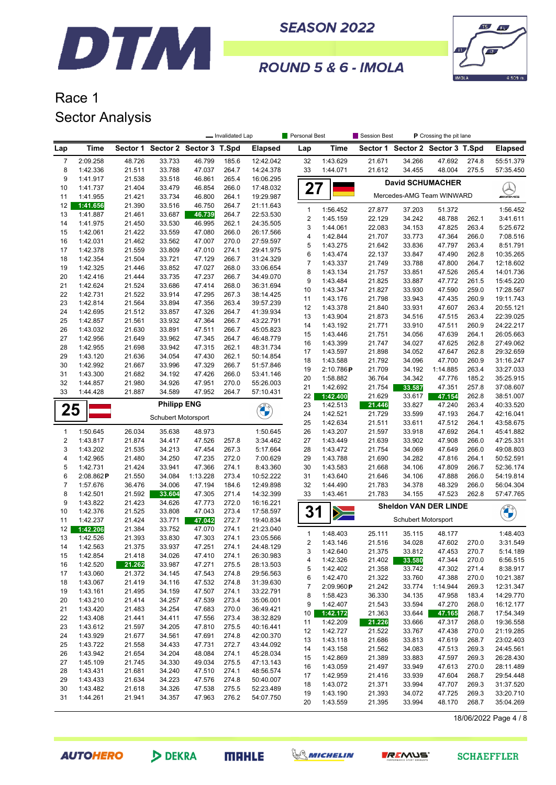



**ROUND 5 & 6 - IMOLA** 

# Race 1 Sector Analysis

|                         |                      |                  |                                  |                  | - Invalidated Lap |                        | Personal Best  |                      | Session Best     |                                  | P Crossing the pit lane |                |                        |
|-------------------------|----------------------|------------------|----------------------------------|------------------|-------------------|------------------------|----------------|----------------------|------------------|----------------------------------|-------------------------|----------------|------------------------|
| Lap                     | Time                 |                  | Sector 1 Sector 2 Sector 3 T.Spd |                  |                   | <b>Elapsed</b>         | Lap            | <b>Time</b>          |                  | Sector 1 Sector 2 Sector 3 T.Spd |                         |                | <b>Elapsed</b>         |
| 7                       | 2:09.258             | 48.726           | 33.733                           | 46.799           | 185.6             | 12:42.042              | 32             | 1:43.629             | 21.671           | 34.266                           | 47.692                  | 274.8          | 55:51.379              |
| 8                       | 1:42.336             | 21.511           | 33.788                           | 47.037           | 264.7             | 14:24.378              | 33             | 1:44.071             | 21.612           | 34.455                           | 48.004                  | 275.5          | 57:35.450              |
| 9                       | 1:41.917             | 21.538           | 33.518                           | 46.861           | 265.4             | 16:06.295              |                |                      |                  | <b>David SCHUMACHER</b>          |                         |                |                        |
| 10                      | 1:41.737             | 21.404           | 33.479<br>33.734                 | 46.854           | 266.0             | 17:48.032<br>19:29.987 |                | 27                   |                  | Mercedes-AMG Team WINWARD        |                         |                | $\blacktriangle$       |
| 11<br>12                | 1:41.955<br>1:41.656 | 21.421<br>21.390 | 33.516                           | 46.800<br>46.750 | 264.1<br>264.7    | 21:11.643              |                |                      |                  |                                  |                         |                |                        |
| 13                      | 1:41.887             | 21.461           | 33.687                           | 46.739           | 264.7             | 22:53.530              | $\mathbf{1}$   | 1:56.452             | 27.877           | 37.203                           | 51.372                  |                | 1:56.452               |
| 14                      | 1:41.975             | 21.450           | 33.530                           | 46.995           | 262.1             | 24:35.505              | $\overline{2}$ | 1:45.159             | 22.129           | 34.242                           | 48.788                  | 262.1          | 3:41.611               |
| 15                      | 1:42.061             | 21.422           | 33.559                           | 47.080           | 266.0             | 26:17.566              | 3<br>4         | 1:44.061<br>1:42.844 | 22.083<br>21.707 | 34.153<br>33.773                 | 47.825<br>47.364        | 263.4<br>266.0 | 5:25.672<br>7:08.516   |
| 16                      | 1:42.031             | 21.462           | 33.562                           | 47.007           | 270.0             | 27:59.597              | 5              | 1:43.275             | 21.642           | 33.836                           | 47.797                  | 263.4          | 8:51.791               |
| 17                      | 1:42.378             | 21.559           | 33.809                           | 47.010           | 274.1             | 29:41.975              | 6              | 1:43.474             | 22.137           | 33.847                           | 47.490                  | 262.8          | 10:35.265              |
| 18                      | 1:42.354             | 21.504           | 33.721                           | 47.129           | 266.7             | 31:24.329              | 7              | 1:43.337             | 21.749           | 33.788                           | 47.800                  | 264.7          | 12:18.602              |
| 19<br>20                | 1:42.325             | 21.446           | 33.852<br>33.735                 | 47.027           | 268.0<br>266.7    | 33:06.654              | 8              | 1:43.134             | 21.757           | 33.851                           | 47.526                  | 265.4          | 14:01.736              |
| 21                      | 1:42.416<br>1:42.624 | 21.444<br>21.524 | 33.686                           | 47.237<br>47.414 | 268.0             | 34:49.070<br>36:31.694 | 9              | 1:43.484             | 21.825           | 33.887                           | 47.772                  | 261.5          | 15:45.220              |
| 22                      | 1:42.731             | 21.522           | 33.914                           | 47.295           | 267.3             | 38:14.425              | 10             | 1:43.347             | 21.827           | 33.930                           | 47.590                  | 259.0          | 17:28.567              |
| 23                      | 1:42.814             | 21.564           | 33.894                           | 47.356           | 263.4             | 39:57.239              | 11             | 1:43.176             | 21.798           | 33.943                           | 47.435                  | 260.9          | 19:11.743              |
| 24                      | 1:42.695             | 21.512           | 33.857                           | 47.326           | 264.7             | 41:39.934              | 12             | 1:43.378             | 21.840           | 33.931                           | 47.607                  | 263.4          | 20:55.121              |
| 25                      | 1:42.857             | 21.561           | 33.932                           | 47.364           | 266.7             | 43:22.791              | 13             | 1:43.904             | 21.873           | 34.516                           | 47.515                  | 263.4          | 22:39.025<br>24:22.217 |
| 26                      | 1:43.032             | 21.630           | 33.891                           | 47.511           | 266.7             | 45:05.823              | 14<br>15       | 1:43.192<br>1:43.446 | 21.771<br>21.751 | 33.910<br>34.056                 | 47.511<br>47.639        | 260.9<br>264.1 | 26:05.663              |
| 27                      | 1:42.956             | 21.649           | 33.962                           | 47.345           | 264.7             | 46:48.779              | 16             | 1:43.399             | 21.747           | 34.027                           | 47.625                  | 262.8          | 27:49.062              |
| 28                      | 1:42.955             | 21.698           | 33.942                           | 47.315           | 262.1             | 48:31.734              | 17             | 1:43.597             | 21.898           | 34.052                           | 47.647                  | 262.8          | 29:32.659              |
| 29                      | 1:43.120             | 21.636           | 34.054                           | 47.430           | 262.1             | 50:14.854              | 18             | 1:43.588             | 21.792           | 34.096                           | 47.700                  | 260.9          | 31:16.247              |
| 30                      | 1:42.992             | 21.667           | 33.996                           | 47.329           | 266.7             | 51:57.846              | 19             | 2:10.786P            | 21.709           | 34.192                           | 1:14.885                | 263.4          | 33:27.033              |
| 31<br>32                | 1:43.300<br>1:44.857 | 21.682<br>21.980 | 34.192<br>34.926                 | 47.426<br>47.951 | 266.0<br>270.0    | 53:41.146<br>55:26.003 | 20             | 1:58.882             | 36.764           | 34.342                           | 47.776                  | 185.2          | 35:25.915              |
| 33                      | 1:44.428             | 21.887           | 34.589                           | 47.952           | 264.7             | 57:10.431              | 21             | 1:42.692             | 21.754           | 33.587                           | 47.351                  | 257.8          | 37:08.607              |
|                         |                      |                  |                                  |                  |                   |                        | 22             | 1:42.400             | 21.629           | 33.617                           | 47.154                  | 262.8          | 38:51.007              |
| 25                      |                      |                  | <b>Philipp ENG</b>               |                  |                   | <b>CALLES</b>          | 23             | 1:42.513             | 21.446           | 33.827                           | 47.240                  | 263.4          | 40:33.520              |
|                         |                      |                  | Schubert Motorsport              |                  |                   |                        | 24             | 1:42.521             | 21.729           | 33.599                           | 47.193                  | 264.7          | 42:16.041              |
| 1                       | 1:50.645             | 26.034           | 35.638                           | 48.973           |                   | 1:50.645               | 25<br>26       | 1:42.634<br>1:43.207 | 21.511<br>21.597 | 33.611<br>33.918                 | 47.512<br>47.692        | 264.1<br>264.1 | 43:58.675<br>45:41.882 |
| $\overline{\mathbf{c}}$ | 1:43.817             | 21.874           | 34.417                           | 47.526           | 257.8             | 3:34.462               | 27             | 1:43.449             | 21.639           | 33.902                           | 47.908                  | 266.0          | 47:25.331              |
| 3                       | 1:43.202             | 21.535           | 34.213                           | 47.454           | 267.3             | 5:17.664               | 28             | 1:43.472             | 21.754           | 34.069                           | 47.649                  | 266.0          | 49:08.803              |
| 4                       | 1:42.965             | 21.480           | 34.250                           | 47.235           | 272.0             | 7:00.629               | 29             | 1:43.788             | 21.690           | 34.282                           | 47.816                  | 264.1          | 50:52.591              |
| 5                       | 1:42.731             | 21.424           | 33.941                           | 47.366           | 274.1             | 8:43.360               | 30             | 1:43.583             | 21.668           | 34.106                           | 47.809                  | 266.7          | 52:36.174              |
| 6                       | 2:08.862P            | 21.550           | 34.084                           | 1:13.228         | 273.4             | 10:52.222              | 31             | 1:43.640             | 21.646           | 34.106                           | 47.888                  | 266.0          | 54:19.814              |
| 7                       | 1:57.676             | 36.476           | 34.006                           | 47.194           | 184.6             | 12:49.898              | 32             | 1:44.490             | 21.783           | 34.378                           | 48.329                  | 266.0          | 56:04.304              |
| 8                       | 1:42.501             | 21.592           | 33.604                           | 47.305           | 271.4             | 14:32.399              | 33             | 1:43.461             | 21.783           | 34.155                           | 47.523                  | 262.8          | 57:47.765              |
| 9                       | 1:43.822             | 21.423           | 34.626                           | 47.773           | 272.0             | 16:16.221              |                |                      |                  | <b>Sheldon VAN DER LINDE</b>     |                         |                |                        |
| 10<br>11                | 1:42.376<br>1:42.237 | 21.525<br>21.424 | 33.808<br>33.771                 | 47.043<br>47.042 | 273.4<br>272.7    | 17:58.597<br>19:40.834 |                | 31<br>>              |                  | Schubert Motorsport              |                         |                | <b>CALCIO</b>          |
| 12                      | 1:42.206             | 21.384           | 33.752                           | 47.070           | 274.1             | 21:23.040              |                |                      |                  |                                  |                         |                |                        |
| 13                      | 1:42.526             | 21.393           | 33.830                           | 47.303           | 274.1             | 23:05.566              | 1              | 1:48.403             | 25.111           | 35.115                           | 48.177                  |                | 1:48.403               |
| 14                      | 1:42.563             | 21.375           | 33.937                           | 47.251           | 274.1             | 24:48.129              | 2              | 1:43.146             | 21.516           | 34.028                           | 47.602                  | 270.0          | 3:31.549               |
| 15                      | 1:42.854             | 21.418           | 34.026                           | 47.410           | 274.1             | 26:30.983              | 3<br>4         | 1:42.640<br>1:42.326 | 21.375           | 33.812<br>33.580                 | 47.453<br>47.344        | 270.7<br>270.0 | 5:14.189               |
| 16                      | 1:42.520             | 21.262           | 33.987                           | 47.271           | 275.5             | 28:13.503              | 5              | 1:42.402             | 21.402<br>21.358 | 33.742                           | 47.302                  | 271.4          | 6:56.515<br>8:38.917   |
| 17                      | 1:43.060             | 21.372           | 34.145                           | 47.543           | 274.8             | 29:56.563              | 6              | 1:42.470             | 21.322           | 33.760                           | 47.388                  | 270.0          | 10:21.387              |
| 18                      | 1:43.067             | 21.419           | 34.116                           | 47.532           | 274.8             | 31:39.630              | 7              | 2:09.960P            | 21.242           | 33.774                           | 1:14.944                | 269.3          | 12:31.347              |
| 19                      | 1:43.161             | 21.495           | 34.159                           | 47.507           | 274.1             | 33:22.791              | 8              | 1:58.423             | 36.330           | 34.135                           | 47.958                  | 183.4          | 14:29.770              |
| 20                      | 1:43.210             | 21.414           | 34.257                           | 47.539           | 273.4             | 35:06.001              | 9              | 1:42.407             | 21.543           | 33.594                           | 47.270                  | 268.0          | 16:12.177              |
| 21<br>22                | 1:43.420<br>1:43.408 | 21.483<br>21.441 | 34.254<br>34.411                 | 47.683<br>47.556 | 270.0<br>273.4    | 36:49.421<br>38:32.829 | 10             | 1:42.172             | 21.363           | 33.644                           | 47.165                  | 268.7          | 17:54.349              |
| 23                      | 1:43.612             | 21.597           | 34.205                           | 47.810           | 275.5             | 40:16.441              | 11             | 1:42.209             | 21.226           | 33.666                           | 47.317                  | 268.0          | 19:36.558              |
| 24                      | 1:43.929             | 21.677           | 34.561                           | 47.691           | 274.8             | 42:00.370              | 12             | 1:42.727             | 21.522           | 33.767                           | 47.438                  | 270.0          | 21:19.285              |
| 25                      | 1:43.722             | 21.558           | 34.433                           | 47.731           | 272.7             | 43:44.092              | 13             | 1:43.118             | 21.686           | 33.813                           | 47.619                  | 268.7          | 23:02.403              |
| 26                      | 1:43.942             | 21.654           | 34.204                           | 48.084           | 274.1             | 45:28.034              | 14             | 1:43.158             | 21.562           | 34.083                           | 47.513                  | 269.3          | 24:45.561              |
| 27                      | 1:45.109             | 21.745           | 34.330                           | 49.034           | 275.5             | 47:13.143              | 15<br>16       | 1:42.869<br>1:43.059 | 21.389<br>21.497 | 33.883<br>33.949                 | 47.597<br>47.613        | 269.3<br>270.0 | 26:28.430<br>28:11.489 |
| 28                      | 1:43.431             | 21.681           | 34.240                           | 47.510           | 274.1             | 48:56.574              | 17             | 1:42.959             | 21.416           | 33.939                           | 47.604                  | 268.7          | 29:54.448              |
| 29                      | 1:43.433             | 21.634           | 34.223                           | 47.576           | 274.8             | 50:40.007              | 18             | 1:43.072             | 21.371           | 33.994                           | 47.707                  | 269.3          | 31:37.520              |
| 30                      | 1:43.482             | 21.618           | 34.326                           | 47.538           | 275.5             | 52:23.489              | 19             | 1:43.190             | 21.393           | 34.072                           | 47.725                  | 269.3          | 33:20.710              |
| 31                      | 1:44.261             | 21.941           | 34.357                           | 47.963           | 276.2             | 54:07.750              | 20             | 1:43.559             | 21.395           | 33.994                           | 48.170                  | 268.7          | 35:04.269              |
|                         |                      |                  |                                  |                  |                   |                        |                |                      |                  |                                  |                         |                |                        |

18/06/2022 Page 4 / 8



```
MAHLE
```


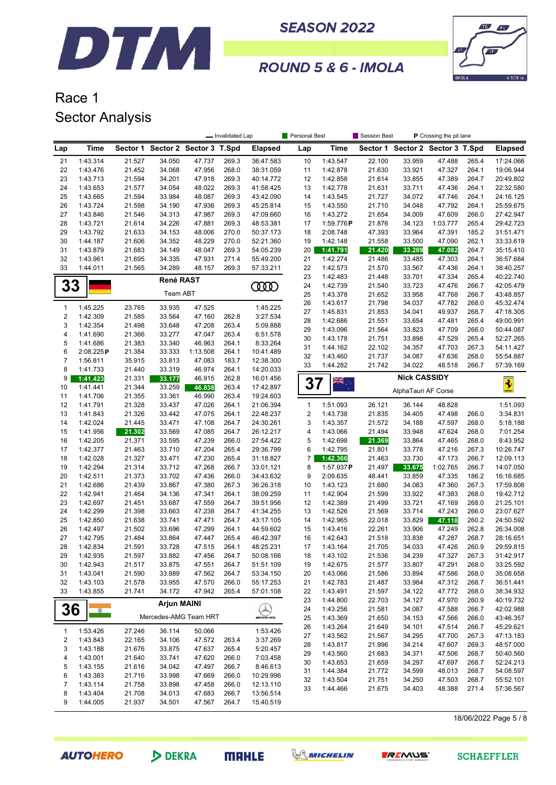



#### ROUND 5 & 6 - IMOLA

# Race 1 Sector Analysis

|                |                       |                  |                                  |                    | - Invalidated Lap |                        | Personal Best           |                      | P Crossing the pit lane<br><b>Session Best</b> |                                  |                  |                |                        |
|----------------|-----------------------|------------------|----------------------------------|--------------------|-------------------|------------------------|-------------------------|----------------------|------------------------------------------------|----------------------------------|------------------|----------------|------------------------|
| Lap            | Time                  |                  | Sector 1 Sector 2 Sector 3 T.Spd |                    |                   | <b>Elapsed</b>         | Lap                     | Time                 |                                                | Sector 1 Sector 2 Sector 3 T.Spd |                  |                | <b>Elapsed</b>         |
| 21             | 1:43.314              | 21.527           | 34.050                           | 47.737             | 269.3             | 36:47.583              | 10                      | 1:43.547             | 22.100                                         | 33.959                           | 47.488           | 265.4          | 17:24.066              |
| 22             | 1:43.476              | 21.452           | 34.068                           | 47.956             | 268.0             | 38:31.059              | 11                      | 1:42.878             | 21.630                                         | 33.921                           | 47.327           | 264.1          | 19:06.944              |
| 23             | 1:43.713              | 21.594           | 34.201                           | 47.918             | 269.3             | 40:14.772              | 12                      | 1:42.858             | 21.614                                         | 33.855                           | 47.389           | 264.7          | 20:49.802              |
| 24             | 1:43.653              | 21.577           | 34.054                           | 48.022             | 269.3             | 41:58.425              | 13                      | 1:42.778             | 21.631                                         | 33.711                           | 47.436           | 264.1          | 22:32.580              |
| 25             | 1:43.665              | 21.594           | 33.984                           | 48.087             | 269.3             | 43:42.090              | 14                      | 1:43.545             | 21.727                                         | 34.072                           | 47.746           | 264.1          | 24:16.125              |
| 26             | 1:43.724              | 21.598           | 34.190                           | 47.936             | 269.3             | 45:25.814              | 15                      | 1:43.550             | 21.710                                         | 34.048                           | 47.792           | 264.1          | 25:59.675              |
| 27             | 1:43.846              | 21.546           | 34.313                           | 47.987             | 269.3             | 47:09.660              | 16                      | 1:43.272             | 21.654                                         | 34.009                           | 47.609           | 266.0          | 27:42.947              |
| 28             | 1:43.721              | 21.614           | 34.226                           | 47.881             | 269.3             | 48:53.381              | 17                      | 1:59.776P            | 21.876                                         | 34.123                           | 1:03.777         | 265.4          | 29:42.723              |
| 29             | 1:43.792              | 21.633           | 34.153                           | 48.006             | 270.0             | 50:37.173              | 18                      | 2:08.748             | 47.393                                         | 33.964                           | 47.391           | 185.2          | 31:51.471              |
| 30             | 1:44.187              | 21.606           | 34.352                           | 48.229             | 270.0             | 52:21.360              | 19                      | 1:42.148             | 21.558                                         | 33.500                           | 47.090           | 262.1          | 33:33.619              |
| 31             | 1:43.879              | 21.683           | 34.149                           | 48.047             | 269.3             | 54:05.239              | 20                      | 1:41.791             | 21.420                                         | 33.289                           | 47.082           | 264.7          | 35:15.410              |
| 32             | 1:43.961              | 21.695           | 34.335                           | 47.931             | 271.4             | 55:49.200              | 21                      | 1:42.274             | 21.486                                         | 33.485                           | 47.303           | 264.1          | 36:57.684              |
| 33             | 1:44.011              | 21.565           | 34.289                           | 48.157             | 269.3             | 57:33.211              | 22                      | 1:42.573             | 21.570                                         | 33.567                           | 47.436           | 264.1          | 38:40.257              |
|                |                       |                  | René RAST                        |                    |                   |                        | 23<br>24                | 1:42.483<br>1:42.739 | 21.448<br>21.540                               | 33.701<br>33.723                 | 47.334<br>47.476 | 265.4<br>266.7 | 40:22.740<br>42:05.479 |
| 33             |                       |                  | Team ABT                         |                    |                   | <b>COOD</b>            | 25                      | 1:43.378             | 21.652                                         | 33.958                           | 47.768           | 266.7          | 43:48.857              |
|                |                       |                  |                                  |                    |                   |                        | 26                      | 1:43.617             | 21.798                                         | 34.037                           | 47.782           | 268.0          | 45:32.474              |
| $\mathbf{1}$   | 1:45.225              | 23.765           | 33.935                           | 47.525             |                   | 1:45.225               | 27                      | 1:45.831             | 21.853                                         | 34.041                           | 49.937           | 268.7          | 47:18.305              |
| $\overline{2}$ | 1:42.309              | 21.585           | 33.564                           | 47.160             | 262.8             | 3:27.534               | 28                      | 1:42.686             | 21.551                                         | 33.654                           | 47.481           | 265.4          | 49:00.991              |
| 3              | 1:42.354              | 21.498           | 33.648                           | 47.208             | 263.4             | 5:09.888               | 29                      | 1:43.096             | 21.564                                         | 33.823                           | 47.709           | 266.0          | 50:44.087              |
| 4              | 1:41.690              | 21.366           | 33.277                           | 47.047             | 263.4             | 6:51.578               | 30                      | 1:43.178             | 21.751                                         | 33.898                           | 47.529           | 265.4          | 52:27.265              |
| 5<br>6         | 1:41.686              | 21.383           | 33.340                           | 46.963             | 264.1             | 8:33.264               | 31                      | 1:44.162             | 22.102                                         | 34.357                           | 47.703           | 267.3          | 54:11.427              |
| $\overline{7}$ | 2:08.225P<br>1:56.811 | 21.384<br>35.915 | 33.333<br>33.813                 | 1:13.508<br>47.083 | 264.1<br>183.7    | 10:41.489<br>12:38.300 | 32                      | 1:43.460             | 21.737                                         | 34.087                           | 47.636           | 268.0          | 55:54.887              |
| 8              | 1:41.733              | 21.440           | 33.319                           | 46.974             | 264.1             | 14:20.033              | 33                      | 1:44.282             | 21.742                                         | 34.022                           | 48.518           | 266.7          | 57:39.169              |
| 9              | 1:41.423              | 21.331           | 33.177                           | 46.915             | 262.8             | 16:01.456              |                         |                      |                                                | <b>Nick CASSIDY</b>              |                  |                |                        |
| 10             | 1:41.441              | 21.344           | 33.259                           | 46.838             | 263.4             | 17:42.897              | 37                      | AK                   |                                                |                                  |                  |                | $\frac{1}{2}$          |
| 11             | 1:41.706              | 21.355           | 33.361                           | 46.990             | 263.4             | 19:24.603              |                         |                      |                                                | AlphaTauri AF Corse              |                  |                |                        |
| 12             | 1:41.791              | 21.328           | 33.437                           | 47.026             | 264.1             | 21:06.394              | $\mathbf{1}$            | 1:51.093             | 26.121                                         | 36.144                           | 48.828           |                | 1:51.093               |
| 13             | 1:41.843              | 21.326           | 33.442                           | 47.075             | 264.1             | 22:48.237              | $\overline{\mathbf{c}}$ | 1:43.738             | 21.835                                         | 34.405                           | 47.498           | 266.0          | 3:34.831               |
| 14             | 1:42.024              | 21.445           | 33.471                           | 47.108             | 264.7             | 24:30.261              | 3                       | 1:43.357             | 21.572                                         | 34.188                           | 47.597           | 268.0          | 5:18.188               |
| 15             | 1:41.956              | 21.302           | 33.569                           | 47.085             | 264.7             | 26:12.217              | 4                       | 1:43.066             | 21.494                                         | 33.948                           | 47.624           | 268.0          | 7:01.254               |
| 16             | 1:42.205              | 21.371           | 33.595                           | 47.239             | 266.0             | 27:54.422              | 5                       | 1:42.698             | 21.369                                         | 33.864                           | 47.465           | 268.0          | 8:43.952               |
| 17             | 1:42.377              | 21.463           | 33.710                           | 47.204             | 265.4             | 29:36.799              | 6                       | 1:42.795             | 21.801                                         | 33.778                           | 47.216           | 267.3          | 10:26.747              |
| 18             | 1:42.028              | 21.327           | 33.471                           | 47.230             | 265.4             | 31:18.827              | 7                       | 1:42.366             | 21.463                                         | 33.730                           | 47.173           | 266.7          | 12:09.113              |
| 19             | 1:42.294              | 21.314           | 33.712                           | 47.268             | 266.7             | 33:01.121              | 8                       | 1:57.937P            | 21.497                                         | 33.675                           | 1:02.765         | 266.7          | 14:07.050              |
| 20             | 1:42.511              | 21.373           | 33.702                           | 47.436             | 266.0             | 34:43.632              | 9                       | 2:09.635             | 48.441                                         | 33.859                           | 47.335           | 186.2          | 16:16.685              |
| 21<br>22       | 1:42.686<br>1:42.941  | 21.439<br>21.464 | 33.867<br>34.136                 | 47.380<br>47.341   | 267.3<br>264.1    | 36:26.318<br>38:09.259 | 10<br>11                | 1:43.123<br>1:42.904 | 21.680<br>21.599                               | 34.083<br>33.922                 | 47.360<br>47.383 | 267.3<br>268.0 | 17:59.808<br>19:42.712 |
| 23             | 1:42.697              | 21.451           | 33.687                           | 47.559             | 264.7             | 39:51.956              | 12                      | 1:42.389             | 21.499                                         | 33.721                           | 47.169           | 268.0          | 21:25.101              |
| 24             | 1:42.299              | 21.398           | 33.663                           | 47.238             | 264.7             | 41:34.255              | 13                      | 1:42.526             | 21.569                                         | 33.714                           | 47.243           | 266.0          | 23:07.627              |
| 25             | 1:42.850              | 21.638           | 33.741                           | 47.471             | 264.7             | 43:17.105              | 14                      | 1:42.965             | 22.018                                         | 33.829                           | 47.118           | 260.2          | 24:50.592              |
| 26             | 1:42.497              | 21.502           | 33.696                           | 47.299             | 264.1             | 44:59.602              | 15                      | 1:43.416             | 22.261                                         | 33.906                           | 47.249           | 262.8          | 26:34.008              |
| 27             | 1:42.795              | 21.484           | 33.864                           | 47.447             | 265.4             | 46:42.397              | 16                      | 1:42.643             | 21.518                                         | 33.838                           | 47.287           | 268.7          | 28:16.651              |
| 28             | 1:42.834              | 21.591           | 33.728                           | 47.515             | 264.1             | 48:25.231              | 17                      | 1:43.164             | 21.705                                         | 34.033                           | 47.426           | 260.9          | 29:59.815              |
| 29             | 1:42.935              | 21.597           | 33.882                           | 47.456             | 264.7             | 50:08.166              | 18                      | 1:43.102             | 21.536                                         | 34.239                           | 47.327           | 267.3          | 31:42.917              |
| 30             | 1:42.943              | 21.517           | 33.875                           | 47.551             | 264.7             | 51:51.109              | 19                      | 1:42.675             | 21.577                                         | 33.807                           | 47.291           | 268.0          | 33:25.592              |
| 31             | 1:43.041              | 21.590           | 33.889                           | 47.562             | 264.7             | 53:34.150              | 20                      | 1:43.066             | 21.586                                         | 33.894                           | 47.586           | 268.0          | 35:08.658              |
| 32             | 1:43.103              | 21.578           | 33.955                           | 47.570             | 266.0             | 55:17.253              | 21                      | 1:42.783             | 21.487                                         | 33.984                           | 47.312           | 268.7          | 36:51.441              |
| 33             | 1:43.855              | 21.741           | 34.172                           | 47.942             | 265.4             | 57:01.108              | 22                      | 1:43.491             | 21.597                                         | 34.122                           | 47.772           | 268.0          | 38:34.932              |
|                |                       |                  | <b>Arjun MAINI</b>               |                    |                   |                        | 23                      | 1:44.800             | 22.703                                         | 34.127                           | 47.970           | 260.9          | 40:19.732              |
| 36             | $\circ$               |                  | Mercedes-AMG Team HRT            |                    |                   | <u>Q</u>               | 24                      | 1:43.256             | 21.581                                         | 34.087                           | 47.588           | 266.7          | 42:02.988              |
|                |                       |                  |                                  |                    |                   |                        | 25                      | 1:43.369             | 21.650                                         | 34.153                           | 47.566           | 266.0          | 43:46.357              |
| $\mathbf{1}$   | 1:53.426              | 27.246           | 36.114                           | 50.066             |                   | 1:53.426               | 26                      | 1:43.264<br>1:43.562 | 21.649                                         | 34.101<br>34.295                 | 47.514<br>47.700 | 266.7          | 45:29.621<br>47:13.183 |
| 2              | 1:43.843              | 22.165           | 34.106                           | 47.572             | 263.4             | 3:37.269               | 27<br>28                | 1:43.817             | 21.567<br>21.996                               | 34.214                           | 47.607           | 267.3<br>269.3 | 48:57.000              |
| 3              | 1:43.188              | 21.676           | 33.875                           | 47.637             | 265.4             | 5:20.457               | 29                      | 1:43.560             | 21.683                                         | 34.371                           | 47.506           | 268.7          | 50:40.560              |
| 4              | 1:43.001              | 21.640           | 33.741                           | 47.620             | 266.0             | 7:03.458               | 30                      | 1:43.653             | 21.659                                         | 34.297                           | 47.697           | 268.7          | 52:24.213              |
| 5              | 1:43.155              | 21.616           | 34.042                           | 47.497             | 266.7             | 8:46.613               | 31                      | 1:44.384             | 21.772                                         | 34.599                           | 48.013           | 268.7          | 54:08.597              |
| 6              | 1:43.383              | 21.716           | 33.998                           | 47.669             | 266.0             | 10:29.996              | 32                      | 1:43.504             | 21.751                                         | 34.250                           | 47.503           | 268.7          | 55:52.101              |
| 7              | 1:43.114              | 21.758           | 33.898                           | 47.458             | 266.0             | 12:13.110              | 33                      | 1:44.466             | 21.675                                         | 34.403                           | 48.388           | 271.4          | 57:36.567              |
| 8              | 1:43.404              | 21.708           | 34.013                           | 47.683             | 266.7             | 13:56.514              |                         |                      |                                                |                                  |                  |                |                        |
| 9              | 1:44.005              | 21.937           | 34.501                           | 47.567             | 264.7             | 15:40.519              |                         |                      |                                                |                                  |                  |                |                        |

18/06/2022 Page 5 / 8



DEKRA





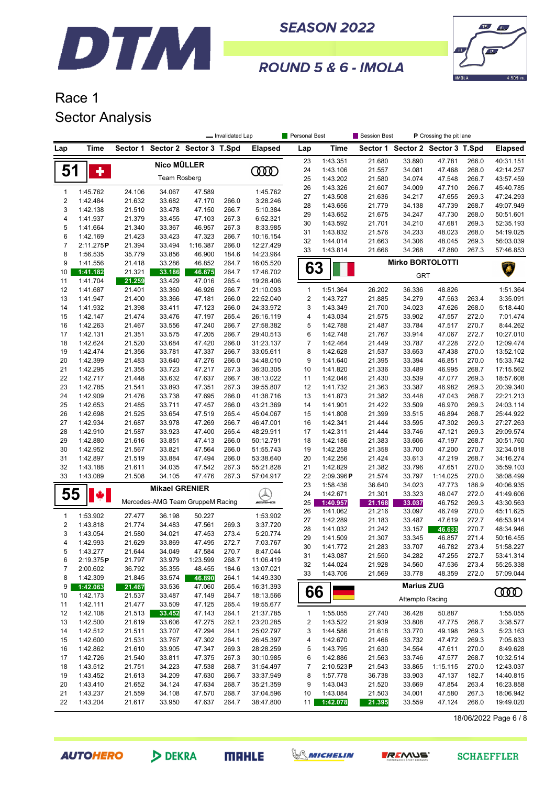



#### ROUND 5 & 6 - IMOLA

### Race 1 Sector Analysis

|                         |                       |                  |                                  |                    | - Invalidated Lap |                           | Personal Best           |                       | Session Best<br>P Crossing the pit lane |                                  |                    |                |                        |
|-------------------------|-----------------------|------------------|----------------------------------|--------------------|-------------------|---------------------------|-------------------------|-----------------------|-----------------------------------------|----------------------------------|--------------------|----------------|------------------------|
| Lap                     | Time                  |                  | Sector 1 Sector 2 Sector 3 T.Spd |                    |                   | <b>Elapsed</b>            | Lap                     | Time                  |                                         | Sector 1 Sector 2 Sector 3 T.Spd |                    |                | <b>Elapsed</b>         |
|                         |                       |                  | Nico MÜLLER                      |                    |                   |                           | 23                      | 1:43.351              | 21.680                                  | 33.890                           | 47.781             | 266.0          | 40:31.151              |
| 51                      | ٠                     |                  |                                  |                    |                   | ŒŒ                        | 24                      | 1:43.106              | 21.557                                  | 34.081                           | 47.468             | 268.0          | 42:14.257              |
|                         |                       |                  | <b>Team Rosberg</b>              |                    |                   |                           | 25                      | 1:43.202              | 21.580                                  | 34.074                           | 47.548             | 266.7          | 43:57.459              |
| 1                       | 1:45.762              | 24.106           | 34.067                           | 47.589             |                   | 1:45.762                  | 26                      | 1:43.326              | 21.607                                  | 34.009                           | 47.710             | 266.7          | 45:40.785              |
| 2                       | 1:42.484              | 21.632           | 33.682                           | 47.170             | 266.0             | 3:28.246                  | 27                      | 1:43.508              | 21.636                                  | 34.217                           | 47.655             | 269.3          | 47:24.293              |
| 3                       | 1:42.138              | 21.510           | 33.478                           | 47.150             | 266.7             | 5:10.384                  | 28                      | 1:43.656              | 21.779                                  | 34.138                           | 47.739             | 268.7          | 49:07.949              |
| 4                       | 1:41.937              | 21.379           | 33.455                           | 47.103             | 267.3             | 6:52.321                  | 29                      | 1:43.652              | 21.675                                  | 34.247                           | 47.730             | 268.0          | 50:51.601              |
| 5                       | 1:41.664              | 21.340           | 33.367                           | 46.957             | 267.3             | 8:33.985                  | 30                      | 1:43.592              | 21.701                                  | 34.210                           | 47.681             | 269.3          | 52:35.193              |
| 6                       | 1:42.169              | 21.423           | 33.423                           | 47.323             | 266.7             | 10:16.154                 | 31<br>32                | 1:43.832<br>1:44.014  | 21.576                                  | 34.233                           | 48.023<br>48.045   | 268.0<br>269.3 | 54:19.025              |
| $\overline{7}$          | 2:11.275P             | 21.394           | 33.494                           | 1:16.387           | 266.0             | 12:27.429                 | 33                      | 1:43.814              | 21.663<br>21.666                        | 34.306<br>34.268                 | 47.880             | 267.3          | 56:03.039<br>57:46.853 |
| 8                       | 1:56.535              | 35.779           | 33.856                           | 46.900             | 184.6             | 14:23.964                 |                         |                       |                                         |                                  |                    |                |                        |
| 9                       | 1:41.556              | 21.418           | 33.286                           | 46.852             | 264.7             | 16:05.520                 | 63                      |                       |                                         | <b>Mirko BORTOLOTTI</b>          |                    |                |                        |
| 10                      | 1:41.182              | 21.321           | 33.186                           | 46.675             | 264.7             | 17:46.702                 |                         |                       |                                         | <b>GRT</b>                       |                    |                |                        |
| 11                      | 1:41.704              | 21.259           | 33.429                           | 47.016             | 265.4             | 19:28.406                 |                         |                       |                                         |                                  |                    |                |                        |
| 12                      | 1:41.687              | 21.401           | 33.360                           | 46.926             | 266.7             | 21:10.093                 | $\mathbf{1}$            | 1:51.364              | 26.202                                  | 36.336                           | 48.826             |                | 1:51.364               |
| 13                      | 1:41.947              | 21.400           | 33.366                           | 47.181             | 266.0             | 22:52.040                 | $\overline{2}$          | 1:43.727              | 21.885                                  | 34.279                           | 47.563             | 263.4          | 3:35.091               |
| 14                      | 1:41.932              | 21.398           | 33.411                           | 47.123             | 266.0             | 24:33.972                 | 3                       | 1:43.349              | 21.700                                  | 34.023                           | 47.626             | 268.0          | 5:18.440               |
| 15<br>16                | 1:42.147<br>1:42.263  | 21.474           | 33.476<br>33.556                 | 47.197<br>47.240   | 265.4<br>266.7    | 26:16.119                 | 4<br>5                  | 1:43.034<br>1:42.788  | 21.575<br>21.487                        | 33.902<br>33.784                 | 47.557<br>47.517   | 272.0<br>270.7 | 7:01.474<br>8:44.262   |
| 17                      | 1:42.131              | 21.467<br>21.351 | 33.575                           | 47.205             | 266.7             | 27:58.382<br>29:40.513    | 6                       | 1:42.748              | 21.767                                  | 33.914                           | 47.067             | 272.7          | 10:27.010              |
| 18                      | 1:42.624              | 21.520           | 33.684                           | 47.420             | 266.0             | 31:23.137                 | $\overline{7}$          | 1:42.464              | 21.449                                  | 33.787                           | 47.228             | 272.0          | 12:09.474              |
| 19                      | 1:42.474              | 21.356           | 33.781                           | 47.337             | 266.7             | 33:05.611                 | 8                       | 1:42.628              | 21.537                                  | 33.653                           | 47.438             | 270.0          | 13:52.102              |
| 20                      | 1:42.399              | 21.483           | 33.640                           | 47.276             | 266.0             | 34:48.010                 | 9                       | 1:41.640              | 21.395                                  | 33.394                           | 46.851             | 270.0          | 15:33.742              |
| 21                      | 1:42.295              | 21.355           | 33.723                           | 47.217             | 267.3             | 36:30.305                 | 10                      | 1:41.820              | 21.336                                  | 33.489                           | 46.995             | 268.7          | 17:15.562              |
| 22                      | 1:42.717              | 21.448           | 33.632                           | 47.637             | 266.7             | 38:13.022                 | 11                      | 1:42.046              | 21.430                                  | 33.539                           | 47.077             | 269.3          | 18:57.608              |
| 23                      | 1:42.785              | 21.541           | 33.893                           | 47.351             | 267.3             | 39:55.807                 | 12                      | 1:41.732              | 21.363                                  | 33.387                           | 46.982             | 269.3          | 20:39.340              |
| 24                      | 1:42.909              | 21.476           | 33.738                           | 47.695             | 266.0             | 41:38.716                 | 13                      | 1:41.873              | 21.382                                  | 33.448                           | 47.043             | 268.7          | 22:21.213              |
| 25                      | 1:42.653              | 21.485           | 33.711                           | 47.457             | 266.0             | 43:21.369                 | 14                      | 1:41.901              | 21.422                                  | 33.509                           | 46.970             | 269.3          | 24:03.114              |
| 26                      | 1:42.698              | 21.525           | 33.654                           | 47.519             | 265.4             | 45:04.067                 | 15                      | 1:41.808              | 21.399                                  | 33.515                           | 46.894             | 268.7          | 25:44.922              |
| 27                      | 1:42.934              | 21.687           | 33.978                           | 47.269             | 266.7             | 46:47.001                 | 16                      | 1:42.341              | 21.444                                  | 33.595                           | 47.302             | 269.3          | 27:27.263              |
| 28                      | 1:42.910              | 21.587           | 33.923                           | 47.400             | 265.4             | 48:29.911                 | 17                      | 1:42.311              | 21.444                                  | 33.746                           | 47.121             | 269.3          | 29:09.574              |
| 29                      | 1:42.880              | 21.616           | 33.851                           | 47.413             | 266.0             | 50:12.791                 | 18                      | 1:42.186              | 21.383                                  | 33.606                           | 47.197             | 268.7          | 30:51.760              |
| 30                      | 1:42.952              | 21.567           | 33.821                           | 47.564             | 266.0             | 51:55.743                 | 19                      | 1:42.258              | 21.358                                  | 33.700                           | 47.200             | 270.7          | 32:34.018              |
| 31                      | 1:42.897              | 21.519           | 33.884                           | 47.494             | 266.0             | 53:38.640                 | 20                      | 1:42.256              | 21.424                                  | 33.613                           | 47.219             | 268.7          | 34:16.274              |
| 32                      | 1:43.188              | 21.611           | 34.035                           | 47.542             | 267.3             | 55:21.828                 | 21                      | 1:42.829              | 21.382                                  | 33.796                           | 47.651             | 270.0          | 35:59.103              |
| 33                      | 1:43.089              | 21.508           | 34.105                           | 47.476             | 267.3             | 57:04.917                 | 22<br>23                | 2:09.396P<br>1:58.436 | 21.574<br>36.640                        | 33.797<br>34.023                 | 1:14.025<br>47.773 | 270.0<br>186.9 | 38:08.499<br>40:06.935 |
|                         |                       |                  | <b>Mikael GRENIER</b>            |                    |                   |                           | 24                      | 1:42.671              | 21.301                                  | 33.323                           | 48.047             | 272.0          | 41:49.606              |
| 55                      |                       |                  | Mercedes-AMG Team GruppeM Racing |                    |                   | $\bigotimes_{\mathbb{Z}}$ | 25                      | 1:40.957              | 21.168                                  | 33.037                           | 46.752             | 269.3          | 43:30.563              |
|                         |                       |                  |                                  |                    |                   |                           | 26                      | 1:41.062              | 21.216                                  | 33.097                           | 46.749             | 270.0          | 45:11.625              |
| 1                       | 1:53.902              | 27.477           | 36.198                           | 50.227             |                   | 1:53.902                  | 27                      | 1:42.289              | 21.183                                  | 33.487                           | 47.619             | 272.7          | 46:53.914              |
| $\overline{\mathbf{c}}$ | 1:43.818              | 21.774           | 34.483                           | 47.561             | 269.3             | 3:37.720                  | 28                      | 1:41.032              | 21.242                                  | 33.157                           | 46.633             | 270.7          | 48:34.946              |
| 3                       | 1:43.054              | 21.580           | 34.021                           | 47.453             | 273.4             | 5:20.774                  | 29                      | 1:41.509              | 21.307                                  | 33.345                           | 46.857             | 271.4          | 50:16.455              |
| 4                       | 1:42.993              | 21.629           | 33.869                           | 47.495             | 272.7             | 7:03.767                  | 30                      | 1:41.772              | 21.283                                  | 33.707                           | 46.782             | 273.4          | 51:58.227              |
| 5                       | 1:43.277              | 21.644           | 34.049                           | 47.584             | 270.7             | 8:47.044                  | 31                      | 1:43.087              | 21.550                                  | 34.282                           | 47.255             | 272.7          | 53:41.314              |
| 6<br>7                  | 2:19.375P<br>2:00.602 | 21.797<br>36.792 | 33.979<br>35.355                 | 1:23.599<br>48.455 | 268.7<br>184.6    | 11:06.419<br>13:07.021    | 32                      | 1:44.024              | 21.928                                  | 34.560                           | 47.536             | 273.4          | 55:25.338              |
| 8                       | 1:42.309              | 21.845           | 33.574                           | 46.890             | 264.1             | 14:49.330                 | 33                      | 1:43.706              | 21.569                                  | 33.778                           | 48.359             | 272.0          | 57:09.044              |
| 9                       | 1:42.063              | 21.467           | 33.536                           | 47.060             | 265.4             | 16:31.393                 |                         |                       |                                         | <b>Marius ZUG</b>                |                    |                |                        |
| 10                      | 1:42.173              | 21.537           | 33.487                           | 47.149             | 264.7             | 18:13.566                 | 66                      |                       |                                         |                                  |                    |                | ŒŒ                     |
| 11                      | 1:42.111              | 21.477           | 33.509                           | 47.125             | 265.4             | 19:55.677                 |                         |                       |                                         | <b>Attempto Racing</b>           |                    |                |                        |
| 12                      | 1:42.108              | 21.513           | 33.452                           | 47.143             | 264.1             | 21:37.785                 | $\mathbf{1}$            | 1:55.055              | 27.740                                  | 36.428                           | 50.887             |                | 1:55.055               |
| 13                      | 1:42.500              | 21.619           | 33.606                           | 47.275             | 262.1             | 23:20.285                 | $\overline{\mathbf{c}}$ | 1:43.522              | 21.939                                  | 33.808                           | 47.775             | 266.7          | 3:38.577               |
| 14                      | 1:42.512              | 21.511           | 33.707                           | 47.294             | 264.1             | 25:02.797                 | 3                       | 1:44.586              | 21.618                                  | 33.770                           | 49.198             | 269.3          | 5:23.163               |
| 15                      | 1:42.600              | 21.531           | 33.767                           | 47.302             | 264.1             | 26:45.397                 | 4                       | 1:42.670              | 21.466                                  | 33.732                           | 47.472             | 269.3          | 7:05.833               |
| 16                      | 1:42.862              | 21.610           | 33.905                           | 47.347             | 269.3             | 28:28.259                 | 5                       | 1:43.795              | 21.630                                  | 34.554                           | 47.611             | 270.0          | 8:49.628               |
| 17                      | 1:42.726              | 21.540           | 33.811                           | 47.375             | 267.3             | 30:10.985                 | 6                       | 1:42.886              | 21.563                                  | 33.746                           | 47.577             | 268.7          | 10:32.514              |
| 18                      | 1:43.512              | 21.751           | 34.223                           | 47.538             | 268.7             | 31:54.497                 | 7                       | 2:10.523P             | 21.543                                  | 33.865                           | 1:15.115           | 270.0          | 12:43.037              |
| 19                      | 1:43.452              | 21.613           | 34.209                           | 47.630             | 266.7             | 33:37.949                 | 8                       | 1:57.778              | 36.738                                  | 33.903                           | 47.137             | 182.7          | 14:40.815              |
| 20                      | 1:43.410              | 21.652           | 34.124                           | 47.634             | 268.7             | 35:21.359                 | 9                       | 1:43.043              | 21.520                                  | 33.669                           | 47.854             | 263.4          | 16:23.858              |
| 21                      | 1:43.237              | 21.559           | 34.108                           | 47.570             | 268.7             | 37:04.596                 | 10                      | 1:43.084              | 21.503                                  | 34.001                           | 47.580             | 267.3          | 18:06.942              |
| 22                      | 1:43.204              | 21.617           | 33.950                           | 47.637             | 264.7             | 38:47.800                 | 11 <sup>1</sup>         | 1:42.078              | 21.395                                  | 33.559                           | 47.124             | 266.0          | 19:49.020              |

18/06/2022 Page 6 / 8

**AUTOHERO** 

DEKRA

**MAHLE** 



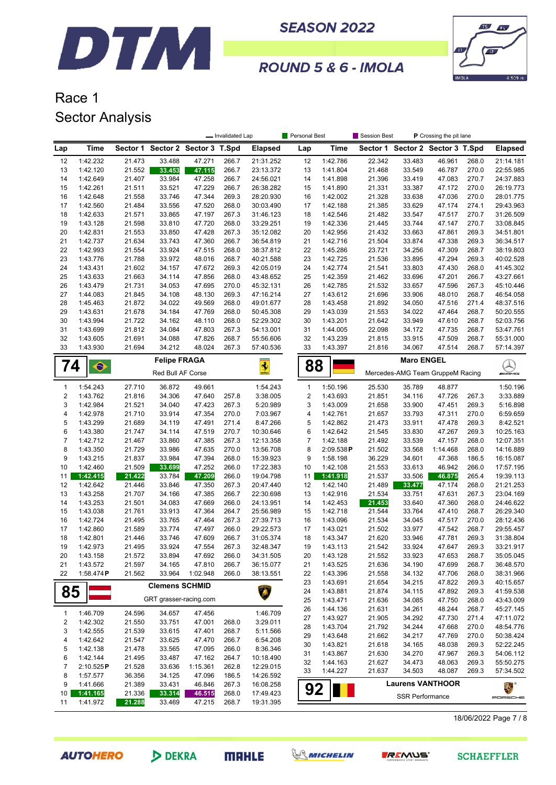



#### ROUND 5 & 6 - IMOLA

### Race 1 Sector Analysis

|                |                                      | Personal Best<br>Session Best<br>P Crossing the pit lane<br>- Invalidated Lap |                        |                         |                |                        |                                                             |                      |                  |                                  |                  |                   |                        |
|----------------|--------------------------------------|-------------------------------------------------------------------------------|------------------------|-------------------------|----------------|------------------------|-------------------------------------------------------------|----------------------|------------------|----------------------------------|------------------|-------------------|------------------------|
| Lap            | Time                                 | Sector 1                                                                      |                        | Sector 2 Sector 3 T.Spd |                | <b>Elapsed</b>         | Lap                                                         | Time                 |                  | Sector 1 Sector 2 Sector 3 T.Spd |                  |                   | <b>Elapsed</b>         |
| 12             | 1:42.232                             | 21.473                                                                        | 33.488                 | 47.271                  | 266.7          | 21:31.252              | 12                                                          | 1:42.786             | 22.342           | 33.483                           | 46.961           | 268.0             | 21:14.181              |
| 13             | 1:42.120                             | 21.552                                                                        | 33.453                 | 47.115                  | 266.7          | 23:13.372              | 13                                                          | 1:41.804             | 21.468           | 33.549                           | 46.787           | 270.0             | 22:55.985              |
| 14             | 1:42.649                             | 21.407                                                                        | 33.984                 | 47.258                  | 266.7          | 24:56.021              | 14                                                          | 1:41.898             | 21.396           | 33.419                           | 47.083           | 270.7             | 24:37.883              |
| 15             | 1:42.261                             | 21.511                                                                        | 33.521                 | 47.229                  | 266.7          | 26:38.282              | 15                                                          | 1:41.890             | 21.331           | 33.387                           | 47.172           | 270.0             | 26:19.773              |
| 16             | 1:42.648                             | 21.558                                                                        | 33.746                 | 47.344                  | 269.3          | 28:20.930              | 16                                                          | 1:42.002             | 21.328           | 33.638                           | 47.036           | 270.0             | 28:01.775              |
| 17             | 1:42.560                             | 21.484                                                                        | 33.556                 | 47.520                  | 268.0          | 30:03.490              | 17                                                          | 1:42.188             | 21.385           | 33.629                           | 47.174           | 274.1             | 29:43.963              |
| 18             | 1:42.633                             | 21.571                                                                        | 33.865                 | 47.197                  | 267.3          | 31:46.123              | 18                                                          | 1:42.546             | 21.482           | 33.547                           | 47.517           | 270.7             | 31:26.509              |
| 19             | 1:43.128                             | 21.598                                                                        | 33.810                 | 47.720                  | 268.0          | 33:29.251              | 19                                                          | 1:42.336             | 21.445           | 33.744                           | 47.147           | 270.7             | 33:08.845              |
| 20             | 1:42.831                             | 21.553                                                                        | 33.850                 | 47.428                  | 267.3          | 35:12.082              | 20                                                          | 1:42.956             | 21.432           | 33.663                           | 47.861           | 269.3             | 34:51.801              |
| 21<br>22       | 1:42.737                             | 21.634                                                                        | 33.743                 | 47.360                  | 266.7          | 36:54.819              | 21                                                          | 1:42.716             | 21.504           | 33.874                           | 47.338           | 269.3             | 36:34.517              |
| 23             | 1:42.993<br>1:43.776                 | 21.554<br>21.788                                                              | 33.924<br>33.972       | 47.515<br>48.016        | 268.0<br>268.7 | 38:37.812<br>40:21.588 | 22<br>23                                                    | 1:45.286<br>1:42.725 | 23.721<br>21.536 | 34.256<br>33.895                 | 47.309<br>47.294 | 268.7<br>269.3    | 38:19.803<br>40:02.528 |
| 24             | 1:43.431                             | 21.602                                                                        | 34.157                 | 47.672                  | 269.3          | 42:05.019              | 24                                                          | 1:42.774             | 21.541           | 33.803                           | 47.430           | 268.0             | 41:45.302              |
| 25             | 1:43.633                             | 21.663                                                                        | 34.114                 | 47.856                  | 268.0          | 43:48.652              | 25                                                          | 1:42.359             | 21.462           | 33.696                           | 47.201           | 266.7             | 43:27.661              |
| 26             | 1:43.479                             | 21.731                                                                        | 34.053                 | 47.695                  | 270.0          | 45:32.131              | 26                                                          | 1:42.785             | 21.532           | 33.657                           | 47.596           | 267.3             | 45:10.446              |
| 27             | 1:44.083                             | 21.845                                                                        | 34.108                 | 48.130                  | 269.3          | 47:16.214              | 27                                                          | 1:43.612             | 21.696           | 33.906                           | 48.010           | 268.7             | 46:54.058              |
| 28             | 1:45.463                             | 21.872                                                                        | 34.022                 | 49.569                  | 268.0          | 49:01.677              | 28                                                          | 1:43.458             | 21.892           | 34.050                           | 47.516           | 271.4             | 48:37.516              |
| 29             | 1:43.631                             | 21.678                                                                        | 34.184                 | 47.769                  | 268.0          | 50:45.308              | 29                                                          | 1:43.039             | 21.553           | 34.022                           | 47.464           | 268.7             | 50:20.555              |
| 30             | 1:43.994                             | 21.722                                                                        | 34.162                 | 48.110                  | 268.0          | 52:29.302              | 30                                                          | 1:43.201             | 21.642           | 33.949                           | 47.610           | 268.7             | 52:03.756              |
| 31             | 1:43.699                             | 21.812                                                                        | 34.084                 | 47.803                  | 267.3          | 54:13.001              | 31                                                          | 1:44.005             | 22.098           | 34.172                           | 47.735           | 268.7             | 53:47.761              |
| 32             | 1:43.605                             | 21.691                                                                        | 34.088                 | 47.826                  | 268.7          | 55:56.606              | 32                                                          | 1:43.239             | 21.815           | 33.915                           | 47.509           | 268.7             | 55:31.000              |
| 33             | 1:43.930                             | 21.694                                                                        | 34.212                 | 48.024                  | 267.3          | 57:40.536              | 33                                                          | 1:43.397             | 21.816           | 34.067                           | 47.514           | 268.7             | 57:14.397              |
|                |                                      |                                                                               | <b>Felipe FRAGA</b>    |                         |                |                        |                                                             |                      |                  |                                  |                  |                   |                        |
|                | 74<br>$\bullet$<br>Red Bull AF Corse |                                                                               |                        |                         | $\frac{1}{2}$  |                        | <b>Maro ENGEL</b><br>88<br>Mercedes-AMG Team GruppeM Racing |                      |                  |                                  |                  | Q<br><i>m</i> ans |                        |
| 1              | 1:54.243                             | 27.710                                                                        | 36.872                 | 49.661                  |                | 1:54.243               | $\mathbf{1}$                                                | 1:50.196             | 25.530           | 35.789                           | 48.877           |                   | 1:50.196               |
| 2              | 1:43.762                             | 21.816                                                                        | 34.306                 | 47.640                  | 257.8          | 3:38.005               | $\overline{2}$                                              | 1:43.693             | 21.851           | 34.116                           | 47.726           | 267.3             | 3:33.889               |
| 3              | 1:42.984                             | 21.521                                                                        | 34.040                 | 47.423                  | 267.3          | 5:20.989               | 3                                                           | 1:43.009             | 21.658           | 33.900                           | 47.451           | 269.3             | 5:16.898               |
| 4              | 1:42.978                             | 21.710                                                                        | 33.914                 | 47.354                  | 270.0          | 7:03.967               | 4                                                           | 1:42.761             | 21.657           | 33.793                           | 47.311           | 270.0             | 6:59.659               |
| 5              | 1:43.299                             | 21.689                                                                        | 34.119                 | 47.491                  | 271.4          | 8:47.266               | 5                                                           | 1:42.862             | 21.473           | 33.911                           | 47.478           | 269.3             | 8:42.521               |
| 6              | 1:43.380                             | 21.747                                                                        | 34.114                 | 47.519                  | 270.7          | 10:30.646              | 6                                                           | 1:42.642             | 21.545           | 33.830                           | 47.267           | 269.3             | 10:25.163              |
| $\overline{7}$ | 1:42.712                             | 21.467                                                                        | 33.860                 | 47.385                  | 267.3          | 12:13.358              | $\boldsymbol{7}$                                            | 1:42.188             | 21.492           | 33.539                           | 47.157           | 268.0             | 12:07.351              |
| 8              | 1:43.350                             | 21.729                                                                        | 33.986                 | 47.635                  | 270.0          | 13:56.708              | 8                                                           | 2:09.538P            | 21.502           | 33.568                           | 1:14.468         | 268.0             | 14:16.889              |
| 9              | 1:43.215                             | 21.837                                                                        | 33.984                 | 47.394                  | 268.0          | 15:39.923              | 9                                                           | 1:58.198             | 36.229           | 34.601                           | 47.368           | 186.5             | 16:15.087              |
| 10             | 1:42.460                             | 21.509                                                                        | 33.699                 | 47.252                  | 266.0          | 17:22.383              | 10                                                          | 1:42.108             | 21.553           | 33.613                           | 46.942           | 266.0             | 17:57.195              |
| 11<br>12       | 1:42.415<br>1:42.642                 | 21.422<br>21.446                                                              | 33.784<br>33.846       | 47.209<br>47.350        | 266.0<br>267.3 | 19:04.798<br>20:47.440 | 11<br>12                                                    | 1:41.918<br>1:42.140 | 21.537<br>21.489 | 33.506                           | 46.875<br>47.174 | 265.4<br>268.0    | 19:39.113<br>21:21.253 |
| 13             | 1:43.258                             | 21.707                                                                        | 34.166                 | 47.385                  | 266.7          | 22:30.698              | 13                                                          | 1:42.916             | 21.534           | 33.477<br>33.751                 | 47.631           | 267.3             | 23:04.169              |
| 14             | 1:43.253                             | 21.501                                                                        | 34.083                 | 47.669                  | 266.0          | 24:13.951              | 14                                                          | 1:42.453             | 21.453           | 33.640                           | 47.360           | 268.0             | 24:46.622              |
| 15             | 1:43.038                             | 21.761                                                                        | 33.913                 | 47.364                  | 264.7          | 25:56.989              | 15                                                          | 1:42.718             | 21.544           | 33.764                           | 47.410           | 268.7             | 26:29.340              |
| 16             | 1:42.724                             | 21.495                                                                        | 33.765                 | 47.464                  | 267.3          | 27:39.713              | 16                                                          | 1:43.096             | 21.534           | 34.045                           | 47.517           | 270.0             | 28:12.436              |
| 17             | 1:42.860                             | 21.589                                                                        | 33.774                 | 47.497                  | 266.0          | 29:22.573              | 17                                                          | 1:43.021             | 21.502           | 33.977                           | 47.542           | 268.7             | 29:55.457              |
| 18             | 1:42.801                             | 21.446                                                                        | 33.746                 | 47.609                  | 266.7          | 31:05.374              | 18                                                          | 1:43.347             | 21.620           | 33.946                           | 47.781           | 269.3             | 31:38.804              |
| 19             | 1:42.973                             | 21.495                                                                        | 33.924                 | 47.554                  | 267.3          | 32:48.347              | 19                                                          | 1:43.113             | 21.542           | 33.924                           | 47.647           | 269.3             | 33:21.917              |
| 20             | 1:43.158                             | 21.572                                                                        | 33.894                 | 47.692                  | 266.0          | 34:31.505              | 20                                                          | 1:43.128             | 21.552           | 33.923                           | 47.653           | 268.7             | 35:05.045              |
| 21             | 1:43.572                             | 21.597                                                                        | 34.165                 | 47.810                  | 266.7          | 36:15.077              | 21                                                          | 1:43.525             | 21.636           | 34.190                           | 47.699           | 268.7             | 36:48.570              |
| 22             | 1:58.474P                            | 21.562                                                                        | 33.964                 | 1:02.948                | 266.0          | 38:13.551              | 22                                                          | 1:43.396             | 21.558           | 34.132                           | 47.706           | 268.0             | 38:31.966              |
|                |                                      |                                                                               | <b>Clemens SCHMID</b>  |                         |                |                        | 23                                                          | 1:43.691             | 21.654           | 34.215                           | 47.822           | 269.3             | 40:15.657              |
| 85             |                                      |                                                                               |                        |                         |                |                        | 24                                                          | 1:43.881             | 21.874           | 34.115                           | 47.892           | 269.3             | 41:59.538              |
|                |                                      |                                                                               | GRT grasser-racing.com |                         |                |                        | 25                                                          | 1:43.471             | 21.636           | 34.085                           | 47.750           | 268.0             | 43:43.009              |
| 1              | 1:46.709                             | 24.596                                                                        | 34.657                 | 47.456                  |                | 1:46.709               | 26                                                          | 1:44.136             | 21.631           | 34.261                           | 48.244           | 268.7             | 45:27.145              |
| 2              | 1:42.302                             | 21.550                                                                        | 33.751                 | 47.001                  | 268.0          | 3:29.011               | 27                                                          | 1:43.927             | 21.905           | 34.292                           | 47.730           | 271.4             | 47:11.072              |
| 3              | 1:42.555                             | 21.539                                                                        | 33.615                 | 47.401                  | 268.7          | 5:11.566               | 28                                                          | 1:43.704             | 21.792           | 34.244                           | 47.668           | 270.0             | 48:54.776              |
| 4              | 1:42.642                             | 21.547                                                                        | 33.625                 | 47.470                  | 266.7          | 6:54.208               | 29                                                          | 1:43.648             | 21.662           | 34.217                           | 47.769           | 270.0             | 50:38.424              |
| 5              | 1:42.138                             | 21.478                                                                        | 33.565                 | 47.095                  | 266.0          | 8:36.346               | 30                                                          | 1:43.821             | 21.618           | 34.165                           | 48.038           | 269.3             | 52:22.245              |
| 6              | 1:42.144                             | 21.495                                                                        | 33.487                 | 47.162                  | 264.7          | 10:18.490              | 31                                                          | 1:43.867             | 21.630           | 34.270                           | 47.967           | 269.3             | 54:06.112              |
| 7              | 2:10.525P                            | 21.528                                                                        | 33.636                 | 1:15.361                | 262.8          | 12:29.015              | 32<br>33                                                    | 1:44.163<br>1:44.227 | 21.627<br>21.637 | 34.473<br>34.503                 | 48.063<br>48.087 | 269.3<br>269.3    | 55:50.275<br>57:34.502 |
| 8              | 1:57.577                             | 36.356                                                                        | 34.125                 | 47.096                  | 186.5          | 14:26.592              |                                                             |                      |                  |                                  |                  |                   |                        |
| 9              | 1:41.666                             | 21.389                                                                        | 33.431                 | 46.846                  | 267.3          | 16:08.258              | 92                                                          |                      |                  | <b>Laurens VANTHOOR</b>          |                  |                   | E.                     |
| 10             | 1:41.165                             | 21.336                                                                        | 33.314                 | 46.515                  | 268.0          | 17:49.423              |                                                             |                      |                  | <b>SSR Performance</b>           |                  |                   | PORSCHE                |
| 11             | 1:41.972                             | 21.288                                                                        | 33.469                 | 47.215                  | 268.7          | 19:31.395              |                                                             |                      |                  |                                  |                  |                   |                        |

18/06/2022 Page 7 / 8